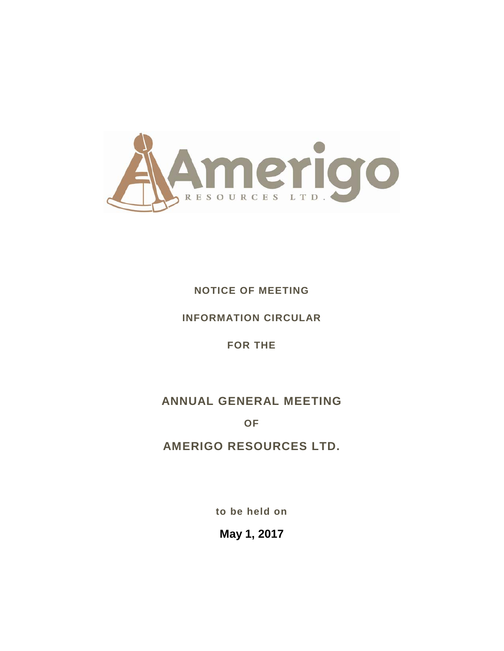

## **NOTICE OF MEETING**

## **INFORMATION CIRCULAR**

## **FOR THE**

# **ANNUAL GENERAL MEETING**

**OF**

# **AMERIGO RESOURCES LTD.**

**to be held on**

**May 1, 2017**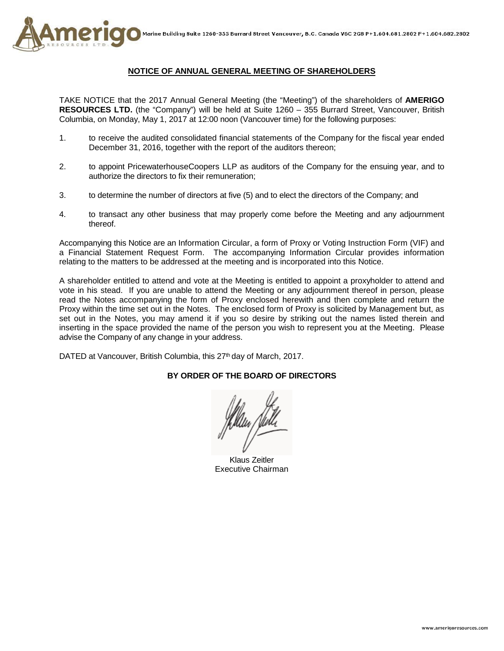

## **NOTICE OF ANNUAL GENERAL MEETING OF SHAREHOLDERS**

TAKE NOTICE that the 2017 Annual General Meeting (the "Meeting") of the shareholders of **AMERIGO RESOURCES LTD.** (the "Company") will be held at Suite 1260 – 355 Burrard Street, Vancouver, British Columbia, on Monday, May 1, 2017 at 12:00 noon (Vancouver time) for the following purposes:

- 1. to receive the audited consolidated financial statements of the Company for the fiscal year ended December 31, 2016, together with the report of the auditors thereon;
- 2. to appoint PricewaterhouseCoopers LLP as auditors of the Company for the ensuing year, and to authorize the directors to fix their remuneration;
- 3. to determine the number of directors at five (5) and to elect the directors of the Company; and
- 4. to transact any other business that may properly come before the Meeting and any adjournment thereof.

Accompanying this Notice are an Information Circular, a form of Proxy or Voting Instruction Form (VIF) and a Financial Statement Request Form. The accompanying Information Circular provides information relating to the matters to be addressed at the meeting and is incorporated into this Notice.

A shareholder entitled to attend and vote at the Meeting is entitled to appoint a proxyholder to attend and vote in his stead. If you are unable to attend the Meeting or any adjournment thereof in person, please read the Notes accompanying the form of Proxy enclosed herewith and then complete and return the Proxy within the time set out in the Notes. The enclosed form of Proxy is solicited by Management but, as set out in the Notes, you may amend it if you so desire by striking out the names listed therein and inserting in the space provided the name of the person you wish to represent you at the Meeting. Please advise the Company of any change in your address.

DATED at Vancouver, British Columbia, this 27<sup>th</sup> day of March, 2017.

#### **BY ORDER OF THE BOARD OF DIRECTORS**

Klaus Zeitler Executive Chairman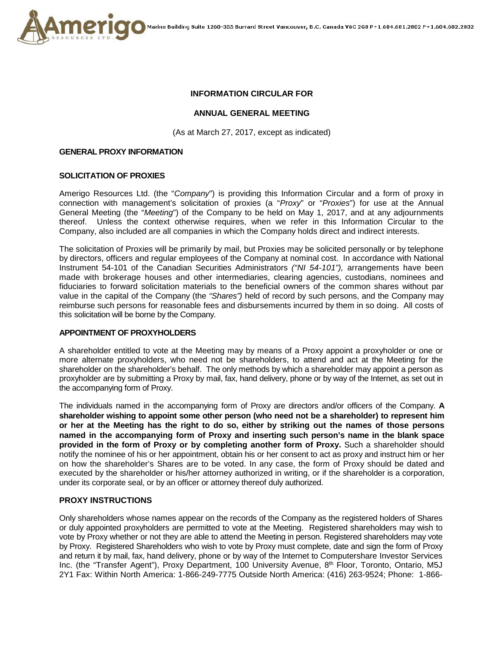

## **INFORMATION CIRCULAR FOR**

## **ANNUAL GENERAL MEETING**

(As at March 27, 2017, except as indicated)

#### **GENERAL PROXY INFORMATION**

#### **SOLICITATION OF PROXIES**

Amerigo Resources Ltd. (the "*Company*") is providing this Information Circular and a form of proxy in connection with management's solicitation of proxies (a "*Proxy*" or "*Proxies*") for use at the Annual General Meeting (the "*Meeting*") of the Company to be held on May 1, 2017, and at any adjournments thereof. Unless the context otherwise requires, when we refer in this Information Circular to the Company, also included are all companies in which the Company holds direct and indirect interests.

The solicitation of Proxies will be primarily by mail, but Proxies may be solicited personally or by telephone by directors, officers and regular employees of the Company at nominal cost. In accordance with National Instrument 54-101 of the Canadian Securities Administrators *("NI 54-101"),* arrangements have been made with brokerage houses and other intermediaries, clearing agencies, custodians, nominees and fiduciaries to forward solicitation materials to the beneficial owners of the common shares without par value in the capital of the Company (the *"Shares")* held of record by such persons, and the Company may reimburse such persons for reasonable fees and disbursements incurred by them in so doing. All costs of this solicitation will be borne by the Company.

#### **APPOINTMENT OF PROXYHOLDERS**

A shareholder entitled to vote at the Meeting may by means of a Proxy appoint a proxyholder or one or more alternate proxyholders, who need not be shareholders, to attend and act at the Meeting for the shareholder on the shareholder's behalf. The only methods by which a shareholder may appoint a person as proxyholder are by submitting a Proxy by mail, fax, hand delivery, phone or by way of the Internet, as set out in the accompanying form of Proxy.

The individuals named in the accompanying form of Proxy are directors and/or officers of the Company. **A shareholder wishing to appoint some other person (who need not be a shareholder) to represent him or her at the Meeting has the right to do so, either by striking out the names of those persons named in the accompanying form of Proxy and inserting such person's name in the blank space provided in the form of Proxy or by completing another form of Proxy.** Such a shareholder should notify the nominee of his or her appointment, obtain his or her consent to act as proxy and instruct him or her on how the shareholder's Shares are to be voted. In any case, the form of Proxy should be dated and executed by the shareholder or his/her attorney authorized in writing, or if the shareholder is a corporation, under its corporate seal, or by an officer or attorney thereof duly authorized.

#### **PROXY INSTRUCTIONS**

Only shareholders whose names appear on the records of the Company as the registered holders of Shares or duly appointed proxyholders are permitted to vote at the Meeting. Registered shareholders may wish to vote by Proxy whether or not they are able to attend the Meeting in person. Registered shareholders may vote by Proxy. Registered Shareholders who wish to vote by Proxy must complete, date and sign the form of Proxy and return it by mail, fax, hand delivery, phone or by way of the Internet to Computershare Investor Services Inc. (the "Transfer Agent"), Proxy Department, 100 University Avenue, 8<sup>th</sup> Floor, Toronto, Ontario, M5J 2Y1 Fax: Within North America: 1-866-249-7775 Outside North America: (416) 263-9524; Phone: 1-866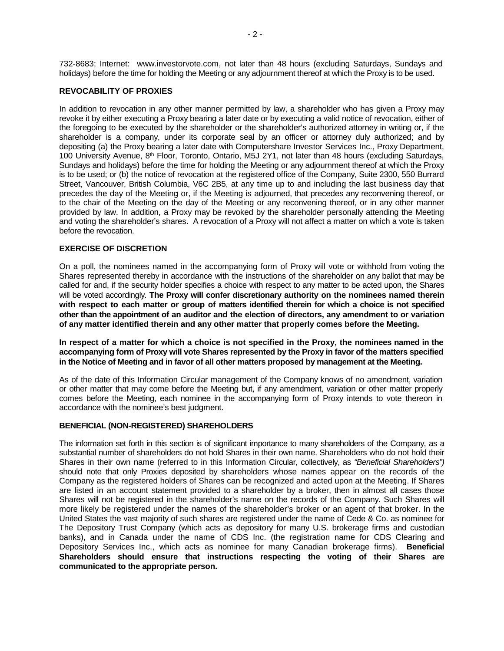732-8683; Internet: www.investorvote.com, not later than 48 hours (excluding Saturdays, Sundays and holidays) before the time for holding the Meeting or any adjournment thereof at which the Proxy is to be used.

## **REVOCABILITY OF PROXIES**

In addition to revocation in any other manner permitted by law, a shareholder who has given a Proxy may revoke it by either executing a Proxy bearing a later date or by executing a valid notice of revocation, either of the foregoing to be executed by the shareholder or the shareholder's authorized attorney in writing or, if the shareholder is a company, under its corporate seal by an officer or attorney duly authorized; and by depositing (a) the Proxy bearing a later date with Computershare Investor Services Inc., Proxy Department, 100 University Avenue,  $8<sup>th</sup>$  Floor, Toronto, Ontario, M5J 2Y1, not later than 48 hours (excluding Saturdays, Sundays and holidays) before the time for holding the Meeting or any adjournment thereof at which the Proxy is to be used; or (b) the notice of revocation at the registered office of the Company, Suite 2300, 550 Burrard Street, Vancouver, British Columbia, V6C 2B5, at any time up to and including the last business day that precedes the day of the Meeting or, if the Meeting is adjourned, that precedes any reconvening thereof, or to the chair of the Meeting on the day of the Meeting or any reconvening thereof, or in any other manner provided by law. In addition, a Proxy may be revoked by the shareholder personally attending the Meeting and voting the shareholder's shares. A revocation of a Proxy will not affect a matter on which a vote is taken before the revocation.

## **EXERCISE OF DISCRETION**

On a poll, the nominees named in the accompanying form of Proxy will vote or withhold from voting the Shares represented thereby in accordance with the instructions of the shareholder on any ballot that may be called for and, if the security holder specifies a choice with respect to any matter to be acted upon, the Shares will be voted accordingly. **The Proxy will confer discretionary authority on the nominees named therein with respect to each matter or group of matters identified therein for which a choice is not specified other than the appointment of an auditor and the election of directors, any amendment to or variation of any matter identified therein and any other matter that properly comes before the Meeting.** 

**In respect of a matter for which a choice is not specified in the Proxy, the nominees named in the accompanying form of Proxy will vote Shares represented by the Proxy in favor of the matters specified in the Notice of Meeting and in favor of all other matters proposed by management at the Meeting.**

As of the date of this Information Circular management of the Company knows of no amendment, variation or other matter that may come before the Meeting but, if any amendment, variation or other matter properly comes before the Meeting, each nominee in the accompanying form of Proxy intends to vote thereon in accordance with the nominee's best judgment.

#### **BENEFICIAL (NON-REGISTERED) SHAREHOLDERS**

The information set forth in this section is of significant importance to many shareholders of the Company, as a substantial number of shareholders do not hold Shares in their own name. Shareholders who do not hold their Shares in their own name (referred to in this Information Circular, collectively, as *"Beneficial Shareholders")*  should note that only Proxies deposited by shareholders whose names appear on the records of the Company as the registered holders of Shares can be recognized and acted upon at the Meeting. If Shares are listed in an account statement provided to a shareholder by a broker, then in almost all cases those Shares will not be registered in the shareholder's name on the records of the Company. Such Shares will more likely be registered under the names of the shareholder's broker or an agent of that broker. In the United States the vast majority of such shares are registered under the name of Cede & Co. as nominee for The Depository Trust Company (which acts as depository for many U.S. brokerage firms and custodian banks), and in Canada under the name of CDS Inc. (the registration name for CDS Clearing and Depository Services Inc., which acts as nominee for many Canadian brokerage firms). **Beneficial Shareholders should ensure that instructions respecting the voting of their Shares are communicated to the appropriate person.**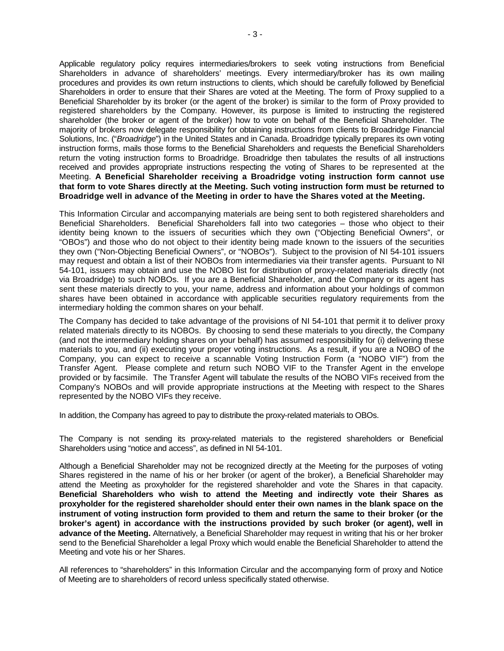Applicable regulatory policy requires intermediaries/brokers to seek voting instructions from Beneficial Shareholders in advance of shareholders' meetings. Every intermediary/broker has its own mailing procedures and provides its own return instructions to clients, which should be carefully followed by Beneficial Shareholders in order to ensure that their Shares are voted at the Meeting. The form of Proxy supplied to a Beneficial Shareholder by its broker (or the agent of the broker) is similar to the form of Proxy provided to registered shareholders by the Company. However, its purpose is limited to instructing the registered shareholder (the broker or agent of the broker) how to vote on behalf of the Beneficial Shareholder. The majority of brokers now delegate responsibility for obtaining instructions from clients to Broadridge Financial Solutions, Inc. ("*Broadridge*") in the United States and in Canada. Broadridge typically prepares its own voting instruction forms, mails those forms to the Beneficial Shareholders and requests the Beneficial Shareholders return the voting instruction forms to Broadridge. Broadridge then tabulates the results of all instructions received and provides appropriate instructions respecting the voting of Shares to be represented at the Meeting. **A Beneficial Shareholder receiving a Broadridge voting instruction form cannot use that form to vote Shares directly at the Meeting. Such voting instruction form must be returned to Broadridge well in advance of the Meeting in order to have the Shares voted at the Meeting.**

This Information Circular and accompanying materials are being sent to both registered shareholders and Beneficial Shareholders. Beneficial Shareholders fall into two categories – those who object to their identity being known to the issuers of securities which they own ("Objecting Beneficial Owners", or "OBOs") and those who do not object to their identity being made known to the issuers of the securities they own ("Non-Objecting Beneficial Owners", or "NOBOs"). Subject to the provision of NI 54-101 issuers may request and obtain a list of their NOBOs from intermediaries via their transfer agents. Pursuant to NI 54-101, issuers may obtain and use the NOBO list for distribution of proxy-related materials directly (not via Broadridge) to such NOBOs. If you are a Beneficial Shareholder, and the Company or its agent has sent these materials directly to you, your name, address and information about your holdings of common shares have been obtained in accordance with applicable securities regulatory requirements from the intermediary holding the common shares on your behalf.

The Company has decided to take advantage of the provisions of NI 54-101 that permit it to deliver proxy related materials directly to its NOBOs. By choosing to send these materials to you directly, the Company (and not the intermediary holding shares on your behalf) has assumed responsibility for (i) delivering these materials to you, and (ii) executing your proper voting instructions. As a result, if you are a NOBO of the Company, you can expect to receive a scannable Voting Instruction Form (a "NOBO VIF") from the Transfer Agent. Please complete and return such NOBO VIF to the Transfer Agent in the envelope provided or by facsimile. The Transfer Agent will tabulate the results of the NOBO VIFs received from the Company's NOBOs and will provide appropriate instructions at the Meeting with respect to the Shares represented by the NOBO VIFs they receive.

In addition, the Company has agreed to pay to distribute the proxy-related materials to OBOs.

The Company is not sending its proxy-related materials to the registered shareholders or Beneficial Shareholders using "notice and access", as defined in NI 54-101.

Although a Beneficial Shareholder may not be recognized directly at the Meeting for the purposes of voting Shares registered in the name of his or her broker (or agent of the broker), a Beneficial Shareholder may attend the Meeting as proxyholder for the registered shareholder and vote the Shares in that capacity. **Beneficial Shareholders who wish to attend the Meeting and indirectly vote their Shares as proxyholder for the registered shareholder should enter their own names in the blank space on the instrument of voting instruction form provided to them and return the same to their broker (or the broker's agent) in accordance with the instructions provided by such broker (or agent), well in advance of the Meeting.** Alternatively, a Beneficial Shareholder may request in writing that his or her broker send to the Beneficial Shareholder a legal Proxy which would enable the Beneficial Shareholder to attend the Meeting and vote his or her Shares.

All references to "shareholders" in this Information Circular and the accompanying form of proxy and Notice of Meeting are to shareholders of record unless specifically stated otherwise.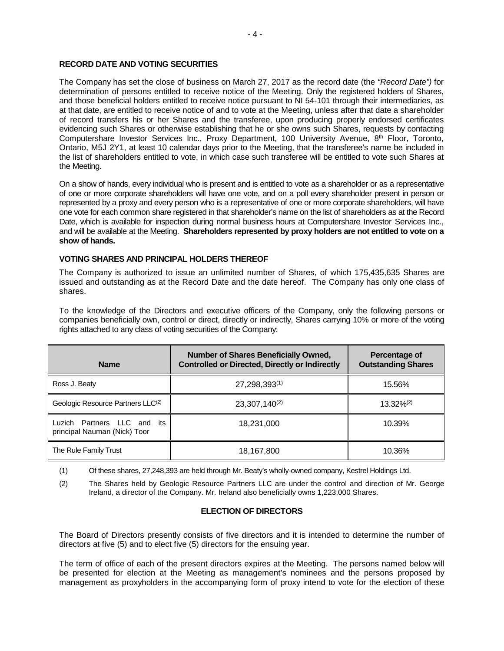## **RECORD DATE AND VOTING SECURITIES**

The Company has set the close of business on March 27, 2017 as the record date (the *"Record Date")* for determination of persons entitled to receive notice of the Meeting. Only the registered holders of Shares, and those beneficial holders entitled to receive notice pursuant to NI 54-101 through their intermediaries, as at that date, are entitled to receive notice of and to vote at the Meeting, unless after that date a shareholder of record transfers his or her Shares and the transferee, upon producing properly endorsed certificates evidencing such Shares or otherwise establishing that he or she owns such Shares, requests by contacting Computershare Investor Services Inc., Proxy Department, 100 University Avenue, 8<sup>th</sup> Floor, Toronto, Ontario, M5J 2Y1, at least 10 calendar days prior to the Meeting, that the transferee's name be included in the list of shareholders entitled to vote, in which case such transferee will be entitled to vote such Shares at the Meeting.

On a show of hands, every individual who is present and is entitled to vote as a shareholder or as a representative of one or more corporate shareholders will have one vote, and on a poll every shareholder present in person or represented by a proxy and every person who is a representative of one or more corporate shareholders, will have one vote for each common share registered in that shareholder's name on the list of shareholders as at the Record Date, which is available for inspection during normal business hours at Computershare Investor Services Inc., and will be available at the Meeting. **Shareholders represented by proxy holders are not entitled to vote on a show of hands.**

## **VOTING SHARES AND PRINCIPAL HOLDERS THEREOF**

The Company is authorized to issue an unlimited number of Shares, of which 175,435,635 Shares are issued and outstanding as at the Record Date and the date hereof. The Company has only one class of shares.

To the knowledge of the Directors and executive officers of the Company, only the following persons or companies beneficially own, control or direct, directly or indirectly, Shares carrying 10% or more of the voting rights attached to any class of voting securities of the Company:

| <b>Name</b>                                                 | <b>Number of Shares Beneficially Owned,</b><br><b>Controlled or Directed, Directly or Indirectly</b> | Percentage of<br><b>Outstanding Shares</b> |
|-------------------------------------------------------------|------------------------------------------------------------------------------------------------------|--------------------------------------------|
| Ross J. Beaty                                               | 27,298,393(1)                                                                                        | 15.56%                                     |
| Geologic Resource Partners LLC(2)                           | $23,307,140^{(2)}$                                                                                   | $13.32\%^{(2)}$                            |
| Luzich Partners LLC and its<br>principal Nauman (Nick) Toor | 18,231,000                                                                                           | 10.39%                                     |
| The Rule Family Trust                                       | 18,167,800                                                                                           | 10.36%                                     |

(1) Of these shares, 27,248,393 are held through Mr. Beaty's wholly-owned company, Kestrel Holdings Ltd.

(2) The Shares held by Geologic Resource Partners LLC are under the control and direction of Mr. George Ireland, a director of the Company. Mr. Ireland also beneficially owns 1,223,000 Shares.

## **ELECTION OF DIRECTORS**

The Board of Directors presently consists of five directors and it is intended to determine the number of directors at five (5) and to elect five (5) directors for the ensuing year.

The term of office of each of the present directors expires at the Meeting. The persons named below will be presented for election at the Meeting as management's nominees and the persons proposed by management as proxyholders in the accompanying form of proxy intend to vote for the election of these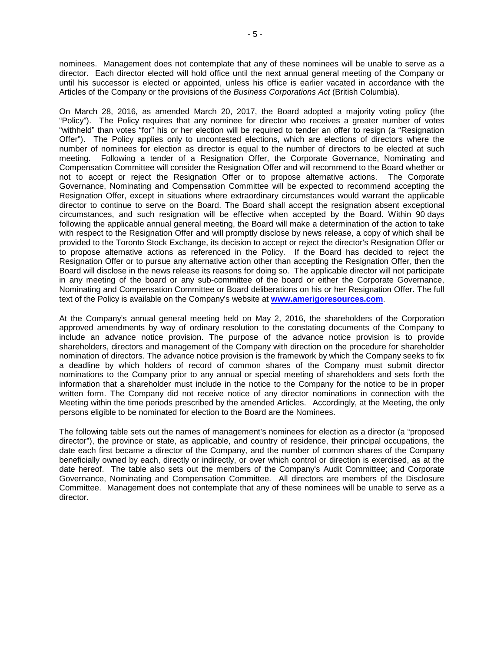nominees. Management does not contemplate that any of these nominees will be unable to serve as a director. Each director elected will hold office until the next annual general meeting of the Company or until his successor is elected or appointed, unless his office is earlier vacated in accordance with the Articles of the Company or the provisions of the *Business Corporations Act* (British Columbia).

On March 28, 2016, as amended March 20, 2017, the Board adopted a majority voting policy (the "Policy"). The Policy requires that any nominee for director who receives a greater number of votes "withheld" than votes "for" his or her election will be required to tender an offer to resign (a "Resignation Offer"). The Policy applies only to uncontested elections, which are elections of directors where the number of nominees for election as director is equal to the number of directors to be elected at such meeting. Following a tender of a Resignation Offer, the Corporate Governance, Nominating and Compensation Committee will consider the Resignation Offer and will recommend to the Board whether or not to accept or reject the Resignation Offer or to propose alternative actions. The Corporate Governance, Nominating and Compensation Committee will be expected to recommend accepting the Resignation Offer, except in situations where extraordinary circumstances would warrant the applicable director to continue to serve on the Board. The Board shall accept the resignation absent exceptional circumstances, and such resignation will be effective when accepted by the Board. Within 90 days following the applicable annual general meeting, the Board will make a determination of the action to take with respect to the Resignation Offer and will promptly disclose by news release, a copy of which shall be provided to the Toronto Stock Exchange, its decision to accept or reject the director's Resignation Offer or to propose alternative actions as referenced in the Policy. If the Board has decided to reject the Resignation Offer or to pursue any alternative action other than accepting the Resignation Offer, then the Board will disclose in the news release its reasons for doing so. The applicable director will not participate in any meeting of the board or any sub-committee of the board or either the Corporate Governance, Nominating and Compensation Committee or Board deliberations on his or her Resignation Offer. The full text of the Policy is available on the Company's website at **[www.amerigoresources.com](http://www.amerigoresources.com/)**.

At the Company's annual general meeting held on May 2, 2016, the shareholders of the Corporation approved amendments by way of ordinary resolution to the constating documents of the Company to include an advance notice provision. The purpose of the advance notice provision is to provide shareholders, directors and management of the Company with direction on the procedure for shareholder nomination of directors. The advance notice provision is the framework by which the Company seeks to fix a deadline by which holders of record of common shares of the Company must submit director nominations to the Company prior to any annual or special meeting of shareholders and sets forth the information that a shareholder must include in the notice to the Company for the notice to be in proper written form. The Company did not receive notice of any director nominations in connection with the Meeting within the time periods prescribed by the amended Articles. Accordingly, at the Meeting, the only persons eligible to be nominated for election to the Board are the Nominees.

The following table sets out the names of management's nominees for election as a director (a "proposed director"), the province or state, as applicable, and country of residence, their principal occupations, the date each first became a director of the Company, and the number of common shares of the Company beneficially owned by each, directly or indirectly, or over which control or direction is exercised, as at the date hereof. The table also sets out the members of the Company's Audit Committee; and Corporate Governance, Nominating and Compensation Committee. All directors are members of the Disclosure Committee. Management does not contemplate that any of these nominees will be unable to serve as a director.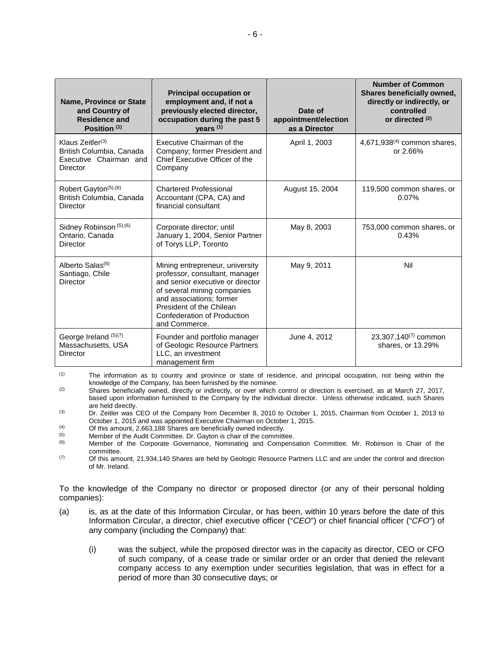| Name, Province or State<br>and Country of<br><b>Residence and</b><br>Position <sup>(1)</sup> | <b>Principal occupation or</b><br>employment and, if not a<br>previously elected director,<br>occupation during the past 5<br>years <sup>(1)</sup>                                                                                                  | Date of<br>appointment/election<br>as a Director | <b>Number of Common</b><br>Shares beneficially owned,<br>directly or indirectly, or<br>controlled<br>or directed $(2)$ |
|----------------------------------------------------------------------------------------------|-----------------------------------------------------------------------------------------------------------------------------------------------------------------------------------------------------------------------------------------------------|--------------------------------------------------|------------------------------------------------------------------------------------------------------------------------|
| Klaus Zeitler $(3)$<br>British Columbia, Canada<br>Executive Chairman and<br>Director        | Executive Chairman of the<br>Company; former President and<br>Chief Executive Officer of the<br>Company                                                                                                                                             | April 1, 2003                                    | 4,671,938 $(4)$ common shares,<br>or 2.66%                                                                             |
| Robert Gayton <sup>(5),(6)</sup><br>British Columbia, Canada<br><b>Director</b>              | <b>Chartered Professional</b><br>Accountant (CPA, CA) and<br>financial consultant                                                                                                                                                                   | August 15, 2004                                  | 119,500 common shares, or<br>0.07%                                                                                     |
| Sidney Robinson (5), (6)<br>Ontario, Canada<br>Director                                      | Corporate director; until<br>January 1, 2004, Senior Partner<br>of Torys LLP, Toronto                                                                                                                                                               | May 8, 2003                                      | 753,000 common shares, or<br>0.43%                                                                                     |
| Alberto Salas <sup>(6)</sup><br>Santiago, Chile<br><b>Director</b>                           | Mining entrepreneur, university<br>professor, consultant, manager<br>and senior executive or director<br>of several mining companies<br>and associations; former<br>President of the Chilean<br><b>Confederation of Production</b><br>and Commerce. | May 9, 2011                                      | Nil                                                                                                                    |
| George Ireland (5)(7)<br>Massachusetts, USA<br><b>Director</b>                               | Founder and portfolio manager<br>of Geologic Resource Partners<br>LLC, an investment<br>management firm                                                                                                                                             | June 4, 2012                                     | 23,307,140 $(7)$ common<br>shares, or 13.29%                                                                           |

(1) The information as to country and province or state of residence, and principal occupation, not being within the knowledge of the Company, has been furnished by the nominee.

 $(2)$  Shares beneficially owned, directly or indirectly, or over which control or direction is exercised, as at March 27, 2017, based upon information furnished to the Company by the individual director. Unless otherwise indicated, such Shares are held directly.

(3) Dr. Zeitler was CEO of the Company from December 8, 2010 to October 1, 2015, Chairman from October 1, 2013 to October 1, 2015 and was appointed Executive Chairman on October 1, 2015.

(4) Of this amount, 2,663,188 Shares are beneficially owned indirectly.<br>
Member of the Audit Committee, Dr. Gayton is chair of the committee.

 $(5)$  Member of the Audit Committee. Dr. Gayton is chair of the committee.<br> $(6)$  Member of the Cornorate Governance, Nominating and Compens

Member of the Corporate Governance, Nominating and Compensation Committee. Mr. Robinson is Chair of the committee.

 $(7)$  Of this amount, 21,934,140 Shares are held by Geologic Resource Partners LLC and are under the control and direction of Mr. Ireland.

To the knowledge of the Company no director or proposed director (or any of their personal holding companies):

- (a) is, as at the date of this Information Circular, or has been, within 10 years before the date of this Information Circular, a director, chief executive officer ("*CEO*") or chief financial officer ("*CFO*") of any company (including the Company) that:
	- (i) was the subject, while the proposed director was in the capacity as director, CEO or CFO of such company, of a cease trade or similar order or an order that denied the relevant company access to any exemption under securities legislation, that was in effect for a period of more than 30 consecutive days; or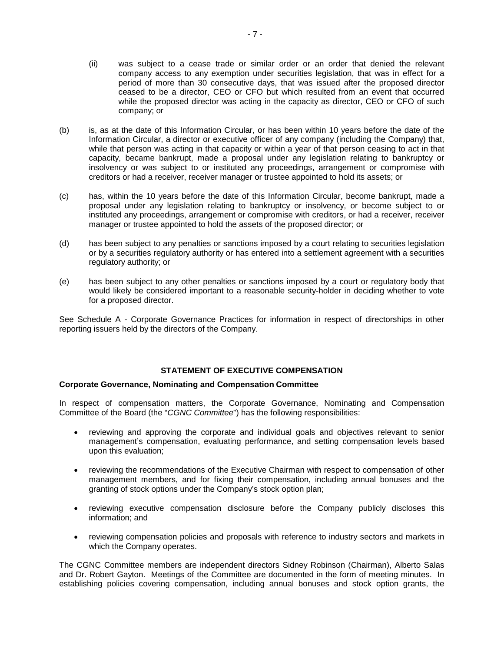- (ii) was subject to a cease trade or similar order or an order that denied the relevant company access to any exemption under securities legislation, that was in effect for a period of more than 30 consecutive days, that was issued after the proposed director ceased to be a director, CEO or CFO but which resulted from an event that occurred while the proposed director was acting in the capacity as director, CEO or CFO of such company; or
- (b) is, as at the date of this Information Circular, or has been within 10 years before the date of the Information Circular, a director or executive officer of any company (including the Company) that, while that person was acting in that capacity or within a year of that person ceasing to act in that capacity, became bankrupt, made a proposal under any legislation relating to bankruptcy or insolvency or was subject to or instituted any proceedings, arrangement or compromise with creditors or had a receiver, receiver manager or trustee appointed to hold its assets; or
- (c) has, within the 10 years before the date of this Information Circular, become bankrupt, made a proposal under any legislation relating to bankruptcy or insolvency, or become subject to or instituted any proceedings, arrangement or compromise with creditors, or had a receiver, receiver manager or trustee appointed to hold the assets of the proposed director; or
- (d) has been subject to any penalties or sanctions imposed by a court relating to securities legislation or by a securities regulatory authority or has entered into a settlement agreement with a securities regulatory authority; or
- (e) has been subject to any other penalties or sanctions imposed by a court or regulatory body that would likely be considered important to a reasonable security-holder in deciding whether to vote for a proposed director.

See Schedule A - Corporate Governance Practices for information in respect of directorships in other reporting issuers held by the directors of the Company.

## **STATEMENT OF EXECUTIVE COMPENSATION**

## **Corporate Governance, Nominating and Compensation Committee**

In respect of compensation matters, the Corporate Governance, Nominating and Compensation Committee of the Board (the "*CGNC Committee*") has the following responsibilities:

- reviewing and approving the corporate and individual goals and objectives relevant to senior management's compensation, evaluating performance, and setting compensation levels based upon this evaluation;
- reviewing the recommendations of the Executive Chairman with respect to compensation of other management members, and for fixing their compensation, including annual bonuses and the granting of stock options under the Company's stock option plan;
- reviewing executive compensation disclosure before the Company publicly discloses this information; and
- reviewing compensation policies and proposals with reference to industry sectors and markets in which the Company operates.

The CGNC Committee members are independent directors Sidney Robinson (Chairman), Alberto Salas and Dr. Robert Gayton. Meetings of the Committee are documented in the form of meeting minutes. In establishing policies covering compensation, including annual bonuses and stock option grants, the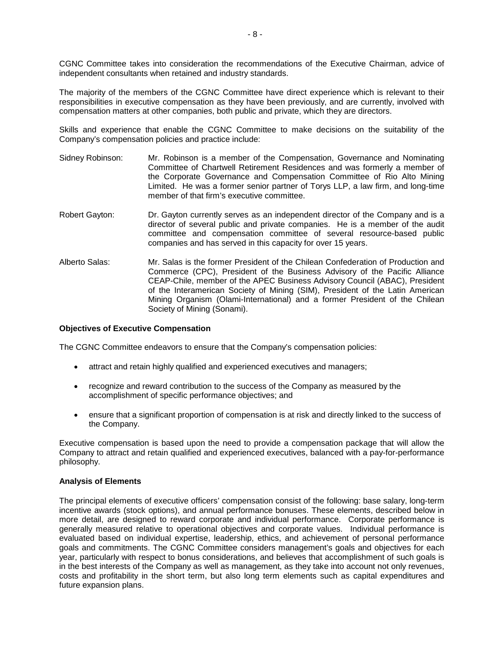CGNC Committee takes into consideration the recommendations of the Executive Chairman, advice of independent consultants when retained and industry standards.

The majority of the members of the CGNC Committee have direct experience which is relevant to their responsibilities in executive compensation as they have been previously, and are currently, involved with compensation matters at other companies, both public and private, which they are directors.

Skills and experience that enable the CGNC Committee to make decisions on the suitability of the Company's compensation policies and practice include:

- Sidney Robinson: Mr. Robinson is a member of the Compensation, Governance and Nominating Committee of Chartwell Retirement Residences and was formerly a member of the Corporate Governance and Compensation Committee of Rio Alto Mining Limited. He was a former senior partner of Torys LLP, a law firm, and long-time member of that firm's executive committee.
- Robert Gayton: Dr. Gayton currently serves as an independent director of the Company and is a director of several public and private companies. He is a member of the audit committee and compensation committee of several resource-based public companies and has served in this capacity for over 15 years.
- Alberto Salas: Mr. Salas is the former President of the Chilean Confederation of Production and Commerce (CPC), President of the Business Advisory of the Pacific Alliance CEAP-Chile, member of the APEC Business Advisory Council (ABAC), President of the Interamerican Society of Mining (SIM), President of the Latin American Mining Organism (Olami-International) and a former President of the Chilean Society of Mining (Sonami).

#### **Objectives of Executive Compensation**

The CGNC Committee endeavors to ensure that the Company's compensation policies:

- attract and retain highly qualified and experienced executives and managers;
- recognize and reward contribution to the success of the Company as measured by the accomplishment of specific performance objectives; and
- ensure that a significant proportion of compensation is at risk and directly linked to the success of the Company.

Executive compensation is based upon the need to provide a compensation package that will allow the Company to attract and retain qualified and experienced executives, balanced with a pay-for-performance philosophy.

#### **Analysis of Elements**

The principal elements of executive officers' compensation consist of the following: base salary, long-term incentive awards (stock options), and annual performance bonuses. These elements, described below in more detail, are designed to reward corporate and individual performance. Corporate performance is generally measured relative to operational objectives and corporate values. Individual performance is evaluated based on individual expertise, leadership, ethics, and achievement of personal performance goals and commitments. The CGNC Committee considers management's goals and objectives for each year, particularly with respect to bonus considerations, and believes that accomplishment of such goals is in the best interests of the Company as well as management, as they take into account not only revenues, costs and profitability in the short term, but also long term elements such as capital expenditures and future expansion plans.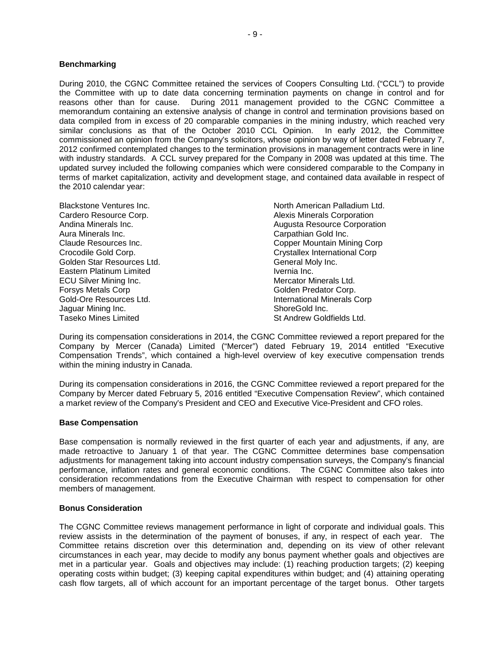#### **Benchmarking**

During 2010, the CGNC Committee retained the services of Coopers Consulting Ltd. ("CCL") to provide the Committee with up to date data concerning termination payments on change in control and for reasons other than for cause. During 2011 management provided to the CGNC Committee a memorandum containing an extensive analysis of change in control and termination provisions based on data compiled from in excess of 20 comparable companies in the mining industry, which reached very similar conclusions as that of the October 2010 CCL Opinion. In early 2012, the Committee commissioned an opinion from the Company's solicitors, whose opinion by way of letter dated February 7, 2012 confirmed contemplated changes to the termination provisions in management contracts were in line with industry standards. A CCL survey prepared for the Company in 2008 was updated at this time. The updated survey included the following companies which were considered comparable to the Company in terms of market capitalization, activity and development stage, and contained data available in respect of the 2010 calendar year:

| North American Palladium Ltd.        |
|--------------------------------------|
| <b>Alexis Minerals Corporation</b>   |
| <b>Augusta Resource Corporation</b>  |
| Carpathian Gold Inc.                 |
| Copper Mountain Mining Corp          |
| <b>Crystallex International Corp</b> |
| General Moly Inc.                    |
| Ivernia Inc.                         |
| Mercator Minerals Ltd.               |
| Golden Predator Corp.                |
| International Minerals Corp          |
| ShoreGold Inc.                       |
| St Andrew Goldfields Ltd.            |
|                                      |

During its compensation considerations in 2014, the CGNC Committee reviewed a report prepared for the Company by Mercer (Canada) Limited ("Mercer") dated February 19, 2014 entitled "Executive Compensation Trends", which contained a high-level overview of key executive compensation trends within the mining industry in Canada.

During its compensation considerations in 2016, the CGNC Committee reviewed a report prepared for the Company by Mercer dated February 5, 2016 entitled "Executive Compensation Review", which contained a market review of the Company's President and CEO and Executive Vice-President and CFO roles.

#### **Base Compensation**

Base compensation is normally reviewed in the first quarter of each year and adjustments, if any, are made retroactive to January 1 of that year. The CGNC Committee determines base compensation adjustments for management taking into account industry compensation surveys, the Company's financial performance, inflation rates and general economic conditions. The CGNC Committee also takes into consideration recommendations from the Executive Chairman with respect to compensation for other members of management.

#### **Bonus Consideration**

The CGNC Committee reviews management performance in light of corporate and individual goals. This review assists in the determination of the payment of bonuses, if any, in respect of each year. The Committee retains discretion over this determination and, depending on its view of other relevant circumstances in each year, may decide to modify any bonus payment whether goals and objectives are met in a particular year. Goals and objectives may include: (1) reaching production targets; (2) keeping operating costs within budget; (3) keeping capital expenditures within budget; and (4) attaining operating cash flow targets, all of which account for an important percentage of the target bonus. Other targets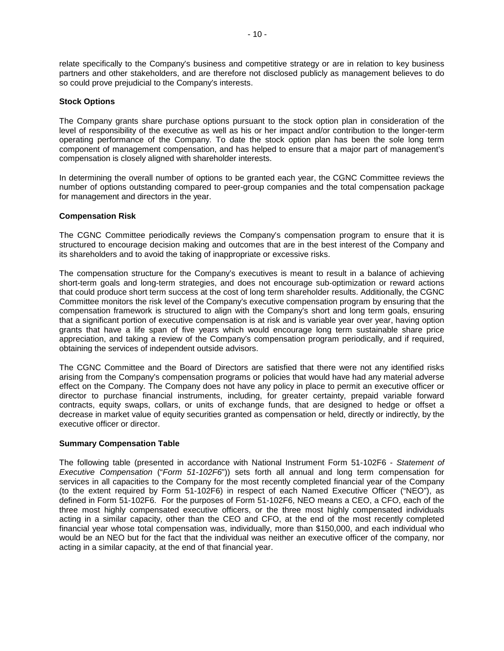relate specifically to the Company's business and competitive strategy or are in relation to key business partners and other stakeholders, and are therefore not disclosed publicly as management believes to do so could prove prejudicial to the Company's interests.

## **Stock Options**

The Company grants share purchase options pursuant to the stock option plan in consideration of the level of responsibility of the executive as well as his or her impact and/or contribution to the longer-term operating performance of the Company. To date the stock option plan has been the sole long term component of management compensation, and has helped to ensure that a major part of management's compensation is closely aligned with shareholder interests.

In determining the overall number of options to be granted each year, the CGNC Committee reviews the number of options outstanding compared to peer-group companies and the total compensation package for management and directors in the year.

## **Compensation Risk**

The CGNC Committee periodically reviews the Company's compensation program to ensure that it is structured to encourage decision making and outcomes that are in the best interest of the Company and its shareholders and to avoid the taking of inappropriate or excessive risks.

The compensation structure for the Company's executives is meant to result in a balance of achieving short-term goals and long-term strategies, and does not encourage sub-optimization or reward actions that could produce short term success at the cost of long term shareholder results. Additionally, the CGNC Committee monitors the risk level of the Company's executive compensation program by ensuring that the compensation framework is structured to align with the Company's short and long term goals, ensuring that a significant portion of executive compensation is at risk and is variable year over year, having option grants that have a life span of five years which would encourage long term sustainable share price appreciation, and taking a review of the Company's compensation program periodically, and if required, obtaining the services of independent outside advisors.

The CGNC Committee and the Board of Directors are satisfied that there were not any identified risks arising from the Company's compensation programs or policies that would have had any material adverse effect on the Company. The Company does not have any policy in place to permit an executive officer or director to purchase financial instruments, including, for greater certainty, prepaid variable forward contracts, equity swaps, collars, or units of exchange funds, that are designed to hedge or offset a decrease in market value of equity securities granted as compensation or held, directly or indirectly, by the executive officer or director.

## **Summary Compensation Table**

The following table (presented in accordance with National Instrument Form 51-102F6 - *Statement of Executive Compensation* ("*Form 51-102F6*")) sets forth all annual and long term compensation for services in all capacities to the Company for the most recently completed financial year of the Company (to the extent required by Form 51-102F6) in respect of each Named Executive Officer ("NEO"), as defined in Form 51-102F6. For the purposes of Form 51-102F6, NEO means a CEO, a CFO, each of the three most highly compensated executive officers, or the three most highly compensated individuals acting in a similar capacity, other than the CEO and CFO, at the end of the most recently completed financial year whose total compensation was, individually, more than \$150,000, and each individual who would be an NEO but for the fact that the individual was neither an executive officer of the company, nor acting in a similar capacity, at the end of that financial year.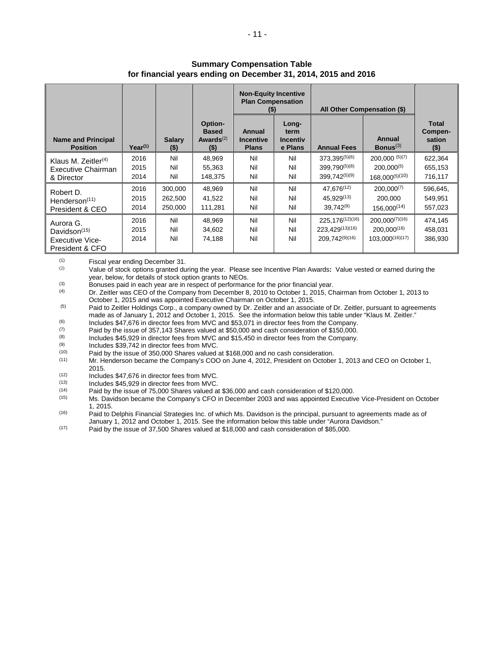|                                                                           |                      |                               |                                                             | <b>Non-Equity Incentive</b><br><b>Plan Compensation</b><br>(5) |                                             | All Other Compensation (\$)                                 |                                                                 |                                              |
|---------------------------------------------------------------------------|----------------------|-------------------------------|-------------------------------------------------------------|----------------------------------------------------------------|---------------------------------------------|-------------------------------------------------------------|-----------------------------------------------------------------|----------------------------------------------|
| <b>Name and Principal</b><br><b>Position</b>                              | $Year^{(1)}$         | <b>Salary</b><br>$($ \$)      | Option-<br><b>Based</b><br>Awards <sup>(2)</sup><br>$($ \$) | Annual<br>Incentive<br><b>Plans</b>                            | Long-<br>term<br><b>Incentiv</b><br>e Plans | <b>Annual Fees</b>                                          | Annual<br>Bonus $(3)$                                           | <b>Total</b><br>Compen-<br>sation<br>$($ \$) |
| Klaus M. Zeitler $(4)$<br>Executive Chairman<br>& Director                | 2016<br>2015<br>2014 | Nil<br>Nil<br>Nil             | 48,969<br>55,363<br>148,375                                 | Nil<br>Nil<br>Nil                                              | Nil<br>Nil<br>Nil                           | 373,395(5)(6)<br>399.790(5)(8)<br>399.742 <sup>(5)(9)</sup> | $200,000^{(5)(7)}$<br>$200.000^{(5)}$<br>$168,000^{(5)(10)}$    | 622,364<br>655,153<br>716,117                |
| Robert D.<br>Henderson <sup>(11)</sup><br>President & CEO                 | 2016<br>2015<br>2014 | 300,000<br>262,500<br>250,000 | 48,969<br>41,522<br>111,281                                 | Nil<br>Nil<br>Nil                                              | Nil<br>Nil<br>Nil                           | 47.676(12)<br>45.929 <sup>(13)</sup><br>$39.742^{(9)}$      | $200,000^{(7)}$<br>200.000<br>$156.000^{(14)}$                  | 596,645,<br>549,951<br>557,023               |
| Aurora G.<br>Davidson $(15)$<br><b>Executive Vice-</b><br>President & CFO | 2016<br>2015<br>2014 | Nil<br>Nil<br>Nil             | 48,969<br>34,602<br>74,188                                  | Nil<br>Nil<br>Nil                                              | Nil<br>Nil<br>Nil                           | 225, 176(12)(16)<br>223,429(13)(16)<br>209.742(9)(16)       | $200,000^{(7)(16)}$<br>$200.000^{(16)}$<br>$103.000^{(16)(17)}$ | 474,145<br>458,031<br>386,930                |

## **Summary Compensation Table for financial years ending on December 31, 2014, 2015 and 2016**

 $(1)$  Fiscal year ending December 31.<br>
Value of stock options granted du

(2) Value of stock options granted during the year. Please see Incentive Plan Awards**:** Value vested or earned during the year, below, for details of stock option grants to NEOs.<br>Bonuses paid in each year are in respect of performance for the prior financial year.

(3) Bonuses paid in each year are in respect of performance for the prior financial year.<br>
(4) Dr. Zeitler was CEO of the Company from December 8, 2010 to October 1, 2015, Chairman from October 1, 2013 to October 1, 2015 and was appointed Executive Chairman on October 1, 2015.

<sup>(5)</sup> Paid to Zeitler Holdings Corp., a company owned by Dr. Zeitler and an associate of Dr. Zeitler, pursuant to agreements made as of January 1, 2012 and October 1, 2015. See the information below this table under "Klaus M. Zeitler."

(6) Includes \$47,676 in director fees from MVC and \$53,071 in director fees from the Company.<br>(7) Paid by the issue of 357,143 Shares valued at \$50,000 and cash consideration of \$150,000.

(7) Paid by the issue of 357,143 Shares valued at \$50,000 and cash consideration of \$150,000.<br>(8) Includes \$45,929 in director fees from MVC and \$15,450 in director fees from the Company

(8) Includes \$45,929 in director fees from MVC and \$15,450 in director fees from the Company.<br>(9) Includes \$39,742 in director fees from MVC

 $(9)$  Includes \$39,742 in director fees from MVC.

 $(10)$  Paid by the issue of 350,000 Shares valued at \$168,000 and no cash consideration.<br> $(11)$  Mr. Henderson became the Company's COO on June 4, 2012. President on October

Mr. Henderson became the Company's COO on June 4, 2012, President on October 1, 2013 and CEO on October 1, 2015.

 $(12)$  Includes \$47,676 in director fees from MVC.<br> $(13)$  Includes \$45,929 in director fees from MVC.

 $(13)$  Includes \$45,929 in director fees from MVC.<br> $(14)$  Paid by the issue of 75,000 Shares valued a

 $(14)$  Paid by the issue of 75,000 Shares valued at \$36,000 and cash consideration of \$120,000.<br>(15) Ms. Davidson became the Company's CEO in December 2003 and was appointed Executiv

Ms. Davidson became the Company's CFO in December 2003 and was appointed Executive Vice-President on October 1, 2015.

 $(16)$  Paid to Delphis Financial Strategies Inc. of which Ms. Davidson is the principal, pursuant to agreements made as of January 1, 2012 and October 1, 2015. See the information below this table under "Aurora Davidson."

 $(17)$  Paid by the issue of 37,500 Shares valued at \$18,000 and cash consideration of \$85,000.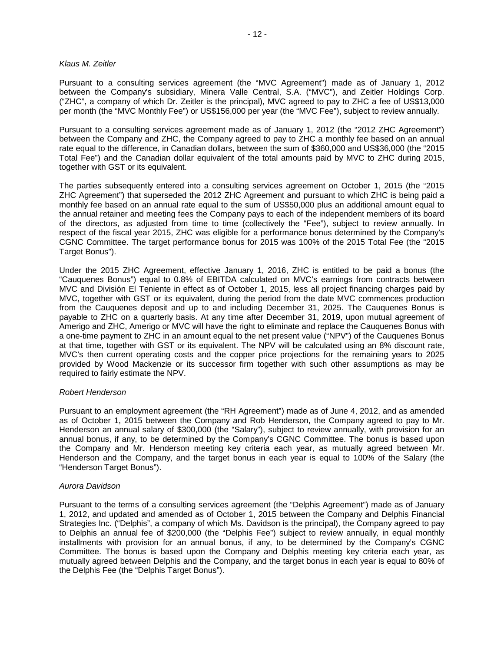#### *Klaus M. Zeitler*

Pursuant to a consulting services agreement (the "MVC Agreement") made as of January 1, 2012 between the Company's subsidiary, Minera Valle Central, S.A. ("MVC"), and Zeitler Holdings Corp. ("ZHC", a company of which Dr. Zeitler is the principal), MVC agreed to pay to ZHC a fee of US\$13,000 per month (the "MVC Monthly Fee") or US\$156,000 per year (the "MVC Fee"), subject to review annually.

Pursuant to a consulting services agreement made as of January 1, 2012 (the "2012 ZHC Agreement") between the Company and ZHC, the Company agreed to pay to ZHC a monthly fee based on an annual rate equal to the difference, in Canadian dollars, between the sum of \$360,000 and US\$36,000 (the "2015 Total Fee") and the Canadian dollar equivalent of the total amounts paid by MVC to ZHC during 2015, together with GST or its equivalent.

The parties subsequently entered into a consulting services agreement on October 1, 2015 (the "2015 ZHC Agreement") that superseded the 2012 ZHC Agreement and pursuant to which ZHC is being paid a monthly fee based on an annual rate equal to the sum of US\$50,000 plus an additional amount equal to the annual retainer and meeting fees the Company pays to each of the independent members of its board of the directors, as adjusted from time to time (collectively the "Fee"), subject to review annually. In respect of the fiscal year 2015, ZHC was eligible for a performance bonus determined by the Company's CGNC Committee. The target performance bonus for 2015 was 100% of the 2015 Total Fee (the "2015 Target Bonus").

Under the 2015 ZHC Agreement, effective January 1, 2016, ZHC is entitled to be paid a bonus (the "Cauquenes Bonus") equal to 0.8% of EBITDA calculated on MVC's earnings from contracts between MVC and División El Teniente in effect as of October 1, 2015, less all project financing charges paid by MVC, together with GST or its equivalent, during the period from the date MVC commences production from the Cauquenes deposit and up to and including December 31, 2025. The Cauquenes Bonus is payable to ZHC on a quarterly basis. At any time after December 31, 2019, upon mutual agreement of Amerigo and ZHC, Amerigo or MVC will have the right to eliminate and replace the Cauquenes Bonus with a one-time payment to ZHC in an amount equal to the net present value ("NPV") of the Cauquenes Bonus at that time, together with GST or its equivalent. The NPV will be calculated using an 8% discount rate, MVC's then current operating costs and the copper price projections for the remaining years to 2025 provided by Wood Mackenzie or its successor firm together with such other assumptions as may be required to fairly estimate the NPV.

## *Robert Henderson*

Pursuant to an employment agreement (the "RH Agreement") made as of June 4, 2012, and as amended as of October 1, 2015 between the Company and Rob Henderson, the Company agreed to pay to Mr. Henderson an annual salary of \$300,000 (the "Salary"), subject to review annually, with provision for an annual bonus, if any, to be determined by the Company's CGNC Committee. The bonus is based upon the Company and Mr. Henderson meeting key criteria each year, as mutually agreed between Mr. Henderson and the Company, and the target bonus in each year is equal to 100% of the Salary (the "Henderson Target Bonus").

## *Aurora Davidson*

Pursuant to the terms of a consulting services agreement (the "Delphis Agreement") made as of January 1, 2012, and updated and amended as of October 1, 2015 between the Company and Delphis Financial Strategies Inc. ("Delphis", a company of which Ms. Davidson is the principal), the Company agreed to pay to Delphis an annual fee of \$200,000 (the "Delphis Fee") subject to review annually, in equal monthly installments with provision for an annual bonus, if any, to be determined by the Company's CGNC Committee. The bonus is based upon the Company and Delphis meeting key criteria each year, as mutually agreed between Delphis and the Company, and the target bonus in each year is equal to 80% of the Delphis Fee (the "Delphis Target Bonus").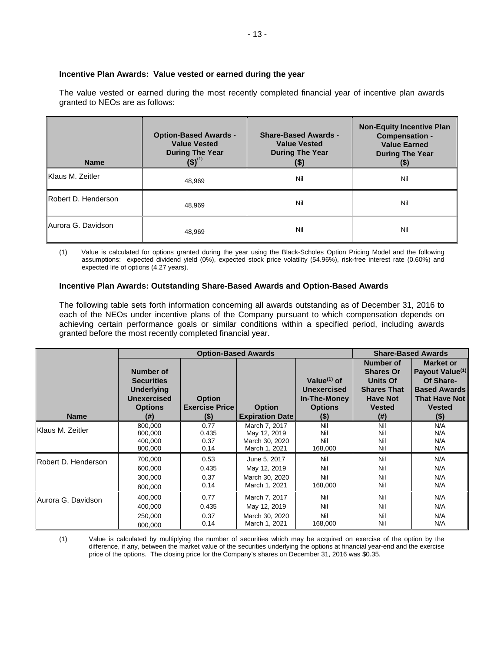## **Incentive Plan Awards: Value vested or earned during the year**

The value vested or earned during the most recently completed financial year of incentive plan awards granted to NEOs are as follows:

| <b>Name</b>         | <b>Option-Based Awards -</b><br><b>Value Vested</b><br><b>During The Year</b><br>$(5)^{(1)}$ | <b>Share-Based Awards -</b><br><b>Value Vested</b><br><b>During The Year</b><br>(\$) | <b>Non-Equity Incentive Plan</b><br><b>Compensation -</b><br><b>Value Earned</b><br><b>During The Year</b><br>$(\$)$ |
|---------------------|----------------------------------------------------------------------------------------------|--------------------------------------------------------------------------------------|----------------------------------------------------------------------------------------------------------------------|
| Klaus M. Zeitler    | 48.969                                                                                       | Nil                                                                                  | Nil                                                                                                                  |
| Robert D. Henderson | 48.969                                                                                       | Nil                                                                                  | Nil                                                                                                                  |
| IAurora G. Davidson | 48,969                                                                                       | Nil                                                                                  | Nil                                                                                                                  |

(1) Value is calculated for options granted during the year using the Black-Scholes Option Pricing Model and the following assumptions: expected dividend yield (0%), expected stock price volatility (54.96%), risk-free interest rate (0.60%) and expected life of options (4.27 years).

## **Incentive Plan Awards: Outstanding Share-Based Awards and Option-Based Awards**

The following table sets forth information concerning all awards outstanding as of December 31, 2016 to each of the NEOs under incentive plans of the Company pursuant to which compensation depends on achieving certain performance goals or similar conditions within a specified period, including awards granted before the most recently completed financial year.

|                     | <b>Option-Based Awards</b>                                                                  |                                        |                        |                                                                        |                                                                                                            | <b>Share-Based Awards</b>                                                                                                    |
|---------------------|---------------------------------------------------------------------------------------------|----------------------------------------|------------------------|------------------------------------------------------------------------|------------------------------------------------------------------------------------------------------------|------------------------------------------------------------------------------------------------------------------------------|
|                     | Number of<br><b>Securities</b><br><b>Underlying</b><br><b>Unexercised</b><br><b>Options</b> | <b>Option</b><br><b>Exercise Price</b> | <b>Option</b>          | Value $(1)$ of<br><b>Unexercised</b><br>In-The-Money<br><b>Options</b> | Number of<br><b>Shares Or</b><br><b>Units Of</b><br><b>Shares That</b><br><b>Have Not</b><br><b>Vested</b> | <b>Market or</b><br>Payout Value <sup>(1)</sup><br>Of Share-<br><b>Based Awards</b><br><b>That Have Not</b><br><b>Vested</b> |
| <b>Name</b>         | (#)                                                                                         | (\$)                                   | <b>Expiration Date</b> | $($ \$)                                                                | (# )                                                                                                       | $($ \$)                                                                                                                      |
| Klaus M. Zeitler    | 800,000                                                                                     | 0.77                                   | March 7, 2017          | Nil                                                                    | Nil                                                                                                        | N/A                                                                                                                          |
|                     | 800,000                                                                                     | 0.435                                  | May 12, 2019           | Nil                                                                    | Nil                                                                                                        | N/A                                                                                                                          |
|                     | 400,000                                                                                     | 0.37                                   | March 30, 2020         | Nil                                                                    | Nil                                                                                                        | N/A                                                                                                                          |
|                     | 800,000                                                                                     | 0.14                                   | March 1, 2021          | 168,000                                                                | Nil                                                                                                        | N/A                                                                                                                          |
| Robert D. Henderson | 700,000                                                                                     | 0.53                                   | June 5, 2017           | Nil                                                                    | Nil                                                                                                        | N/A                                                                                                                          |
|                     | 600,000                                                                                     | 0.435                                  | May 12, 2019           | Nil                                                                    | Nil                                                                                                        | N/A                                                                                                                          |
|                     | 300,000                                                                                     | 0.37                                   | March 30, 2020         | Nil                                                                    | Nil                                                                                                        | N/A                                                                                                                          |
|                     | 800,000                                                                                     | 0.14                                   | March 1, 2021          | 168,000                                                                | Nil                                                                                                        | N/A                                                                                                                          |
| Aurora G. Davidson  | 400,000                                                                                     | 0.77                                   | March 7, 2017          | Nil                                                                    | Nil                                                                                                        | N/A                                                                                                                          |
|                     | 400,000                                                                                     | 0.435                                  | May 12, 2019           | Nil                                                                    | Nil                                                                                                        | N/A                                                                                                                          |
|                     | 250,000                                                                                     | 0.37                                   | March 30, 2020         | Nil                                                                    | Nil                                                                                                        | N/A                                                                                                                          |
|                     | 800,000                                                                                     | 0.14                                   | March 1, 2021          | 168,000                                                                | Nil                                                                                                        | N/A                                                                                                                          |

(1) Value is calculated by multiplying the number of securities which may be acquired on exercise of the option by the difference, if any, between the market value of the securities underlying the options at financial year-end and the exercise price of the options. The closing price for the Company's shares on December 31, 2016 was \$0.35.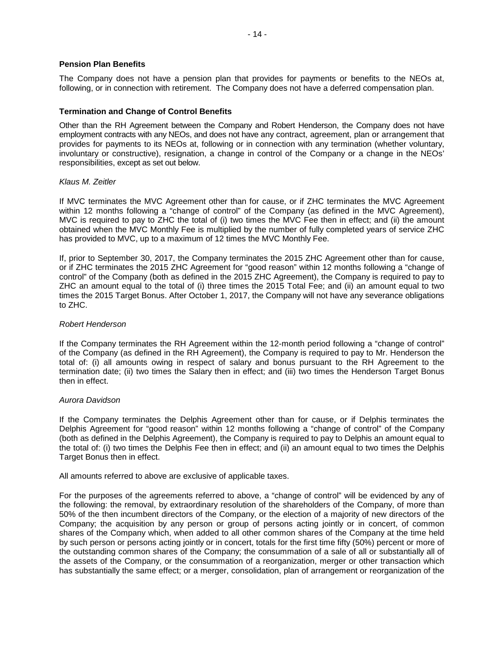#### **Pension Plan Benefits**

The Company does not have a pension plan that provides for payments or benefits to the NEOs at, following, or in connection with retirement. The Company does not have a deferred compensation plan.

## **Termination and Change of Control Benefits**

Other than the RH Agreement between the Company and Robert Henderson, the Company does not have employment contracts with any NEOs, and does not have any contract, agreement, plan or arrangement that provides for payments to its NEOs at, following or in connection with any termination (whether voluntary, involuntary or constructive), resignation, a change in control of the Company or a change in the NEOs' responsibilities, except as set out below.

#### *Klaus M. Zeitler*

If MVC terminates the MVC Agreement other than for cause, or if ZHC terminates the MVC Agreement within 12 months following a "change of control" of the Company (as defined in the MVC Agreement), MVC is required to pay to ZHC the total of (i) two times the MVC Fee then in effect; and (ii) the amount obtained when the MVC Monthly Fee is multiplied by the number of fully completed years of service ZHC has provided to MVC, up to a maximum of 12 times the MVC Monthly Fee.

If, prior to September 30, 2017, the Company terminates the 2015 ZHC Agreement other than for cause, or if ZHC terminates the 2015 ZHC Agreement for "good reason" within 12 months following a "change of control" of the Company (both as defined in the 2015 ZHC Agreement), the Company is required to pay to ZHC an amount equal to the total of (i) three times the 2015 Total Fee; and (ii) an amount equal to two times the 2015 Target Bonus. After October 1, 2017, the Company will not have any severance obligations to ZHC.

#### *Robert Henderson*

If the Company terminates the RH Agreement within the 12-month period following a "change of control" of the Company (as defined in the RH Agreement), the Company is required to pay to Mr. Henderson the total of: (i) all amounts owing in respect of salary and bonus pursuant to the RH Agreement to the termination date; (ii) two times the Salary then in effect; and (iii) two times the Henderson Target Bonus then in effect.

#### *Aurora Davidson*

If the Company terminates the Delphis Agreement other than for cause, or if Delphis terminates the Delphis Agreement for "good reason" within 12 months following a "change of control" of the Company (both as defined in the Delphis Agreement), the Company is required to pay to Delphis an amount equal to the total of: (i) two times the Delphis Fee then in effect; and (ii) an amount equal to two times the Delphis Target Bonus then in effect.

All amounts referred to above are exclusive of applicable taxes.

For the purposes of the agreements referred to above, a "change of control" will be evidenced by any of the following: the removal, by extraordinary resolution of the shareholders of the Company, of more than 50% of the then incumbent directors of the Company, or the election of a majority of new directors of the Company; the acquisition by any person or group of persons acting jointly or in concert, of common shares of the Company which, when added to all other common shares of the Company at the time held by such person or persons acting jointly or in concert, totals for the first time fifty (50%) percent or more of the outstanding common shares of the Company; the consummation of a sale of all or substantially all of the assets of the Company, or the consummation of a reorganization, merger or other transaction which has substantially the same effect; or a merger, consolidation, plan of arrangement or reorganization of the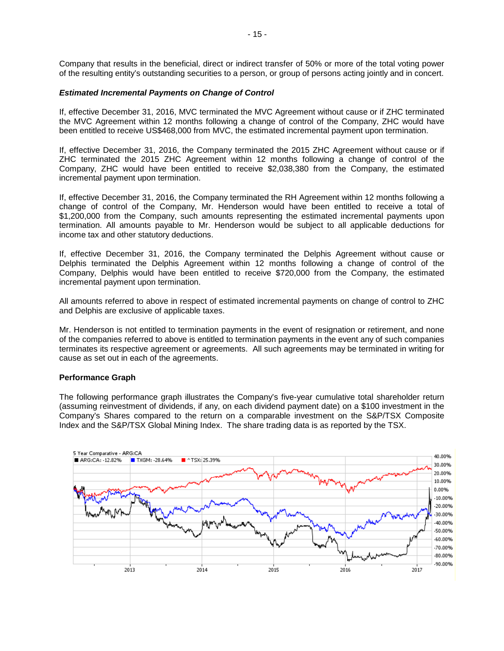Company that results in the beneficial, direct or indirect transfer of 50% or more of the total voting power of the resulting entity's outstanding securities to a person, or group of persons acting jointly and in concert.

## *Estimated Incremental Payments on Change of Control*

If, effective December 31, 2016, MVC terminated the MVC Agreement without cause or if ZHC terminated the MVC Agreement within 12 months following a change of control of the Company, ZHC would have been entitled to receive US\$468,000 from MVC, the estimated incremental payment upon termination.

If, effective December 31, 2016, the Company terminated the 2015 ZHC Agreement without cause or if ZHC terminated the 2015 ZHC Agreement within 12 months following a change of control of the Company, ZHC would have been entitled to receive \$2,038,380 from the Company, the estimated incremental payment upon termination.

If, effective December 31, 2016, the Company terminated the RH Agreement within 12 months following a change of control of the Company, Mr. Henderson would have been entitled to receive a total of \$1,200,000 from the Company, such amounts representing the estimated incremental payments upon termination. All amounts payable to Mr. Henderson would be subject to all applicable deductions for income tax and other statutory deductions.

If, effective December 31, 2016, the Company terminated the Delphis Agreement without cause or Delphis terminated the Delphis Agreement within 12 months following a change of control of the Company, Delphis would have been entitled to receive \$720,000 from the Company, the estimated incremental payment upon termination.

All amounts referred to above in respect of estimated incremental payments on change of control to ZHC and Delphis are exclusive of applicable taxes.

Mr. Henderson is not entitled to termination payments in the event of resignation or retirement, and none of the companies referred to above is entitled to termination payments in the event any of such companies terminates its respective agreement or agreements. All such agreements may be terminated in writing for cause as set out in each of the agreements.

#### **Performance Graph**

The following performance graph illustrates the Company's five-year cumulative total shareholder return (assuming reinvestment of dividends, if any, on each dividend payment date) on a \$100 investment in the Company's Shares compared to the return on a comparable investment on the S&P/TSX Composite Index and the S&P/TSX Global Mining Index. The share trading data is as reported by the TSX.

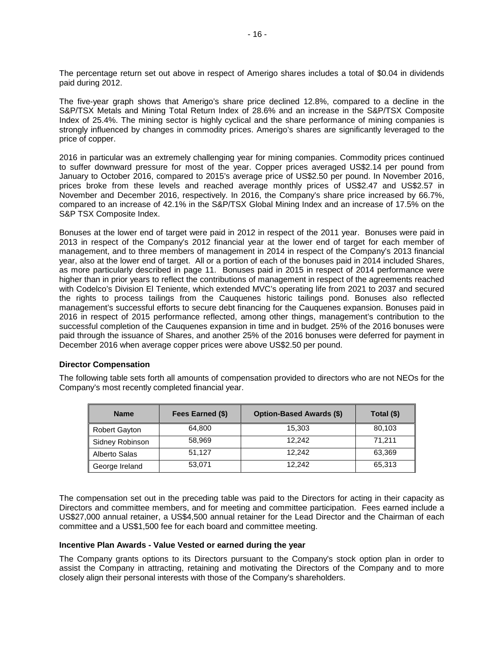The percentage return set out above in respect of Amerigo shares includes a total of \$0.04 in dividends paid during 2012.

The five-year graph shows that Amerigo's share price declined 12.8%, compared to a decline in the S&P/TSX Metals and Mining Total Return Index of 28.6% and an increase in the S&P/TSX Composite Index of 25.4%. The mining sector is highly cyclical and the share performance of mining companies is strongly influenced by changes in commodity prices. Amerigo's shares are significantly leveraged to the price of copper.

2016 in particular was an extremely challenging year for mining companies. Commodity prices continued to suffer downward pressure for most of the year. Copper prices averaged US\$2.14 per pound from January to October 2016, compared to 2015's average price of US\$2.50 per pound. In November 2016, prices broke from these levels and reached average monthly prices of US\$2.47 and US\$2.57 in November and December 2016, respectively. In 2016, the Company's share price increased by 66.7%, compared to an increase of 42.1% in the S&P/TSX Global Mining Index and an increase of 17.5% on the S&P TSX Composite Index.

Bonuses at the lower end of target were paid in 2012 in respect of the 2011 year. Bonuses were paid in 2013 in respect of the Company's 2012 financial year at the lower end of target for each member of management, and to three members of management in 2014 in respect of the Company's 2013 financial year, also at the lower end of target. All or a portion of each of the bonuses paid in 2014 included Shares, as more particularly described in page 11. Bonuses paid in 2015 in respect of 2014 performance were higher than in prior years to reflect the contributions of management in respect of the agreements reached with Codelco's Division El Teniente, which extended MVC's operating life from 2021 to 2037 and secured the rights to process tailings from the Cauquenes historic tailings pond. Bonuses also reflected management's successful efforts to secure debt financing for the Cauquenes expansion. Bonuses paid in 2016 in respect of 2015 performance reflected, among other things, management's contribution to the successful completion of the Cauquenes expansion in time and in budget. 25% of the 2016 bonuses were paid through the issuance of Shares, and another 25% of the 2016 bonuses were deferred for payment in December 2016 when average copper prices were above US\$2.50 per pound.

## **Director Compensation**

The following table sets forth all amounts of compensation provided to directors who are not NEOs for the Company's most recently completed financial year.

| <b>Name</b>          | Fees Earned (\$) | <b>Option-Based Awards (\$)</b> | Total (\$) |
|----------------------|------------------|---------------------------------|------------|
| <b>Robert Gayton</b> | 64,800           | 15,303                          | 80,103     |
| Sidney Robinson      | 58,969           | 12.242                          | 71,211     |
| Alberto Salas        | 51.127           | 12.242                          | 63,369     |
| George Ireland       | 53,071           | 12.242                          | 65,313     |

The compensation set out in the preceding table was paid to the Directors for acting in their capacity as Directors and committee members, and for meeting and committee participation. Fees earned include a US\$27,000 annual retainer, a US\$4,500 annual retainer for the Lead Director and the Chairman of each committee and a US\$1,500 fee for each board and committee meeting.

## **Incentive Plan Awards - Value Vested or earned during the year**

The Company grants options to its Directors pursuant to the Company's stock option plan in order to assist the Company in attracting, retaining and motivating the Directors of the Company and to more closely align their personal interests with those of the Company's shareholders.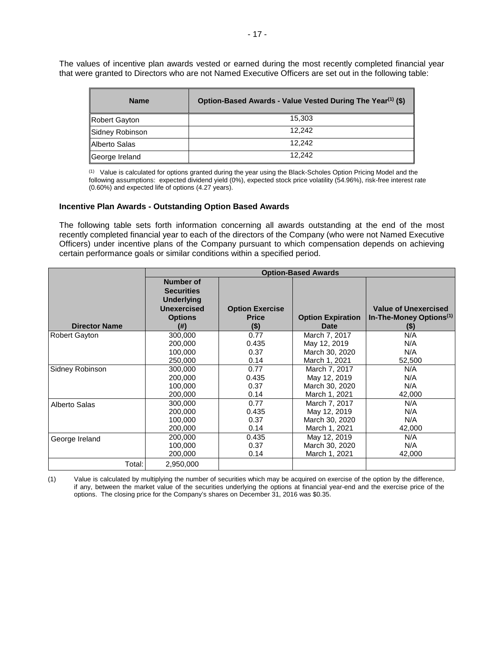The values of incentive plan awards vested or earned during the most recently completed financial year that were granted to Directors who are not Named Executive Officers are set out in the following table:

| <b>Name</b>     | Option-Based Awards - Value Vested During The Year <sup>(1)</sup> (\$) |
|-----------------|------------------------------------------------------------------------|
| Robert Gayton   | 15.303                                                                 |
| Sidney Robinson | 12.242                                                                 |
| Alberto Salas   | 12.242                                                                 |
| George Ireland  | 12.242                                                                 |

(1) Value is calculated for options granted during the year using the Black-Scholes Option Pricing Model and the following assumptions: expected dividend yield (0%), expected stock price volatility (54.96%), risk-free interest rate (0.60%) and expected life of options (4.27 years).

#### **Incentive Plan Awards - Outstanding Option Based Awards**

The following table sets forth information concerning all awards outstanding at the end of the most recently completed financial year to each of the directors of the Company (who were not Named Executive Officers) under incentive plans of the Company pursuant to which compensation depends on achieving certain performance goals or similar conditions within a specified period.

|                      | <b>Option-Based Awards</b>                                                                          |                                                   |                                         |                                                                               |
|----------------------|-----------------------------------------------------------------------------------------------------|---------------------------------------------------|-----------------------------------------|-------------------------------------------------------------------------------|
| <b>Director Name</b> | Number of<br><b>Securities</b><br><b>Underlying</b><br><b>Unexercised</b><br><b>Options</b><br>(# ) | <b>Option Exercise</b><br><b>Price</b><br>$($ \$) | <b>Option Expiration</b><br><b>Date</b> | <b>Value of Unexercised</b><br>In-The-Money Options <sup>(1)</sup><br>$($ \$) |
| <b>Robert Gayton</b> | 300,000                                                                                             | 0.77                                              | March 7, 2017                           | N/A                                                                           |
|                      | 200.000                                                                                             | 0.435                                             | May 12, 2019                            | N/A                                                                           |
|                      | 100.000                                                                                             | 0.37                                              | March 30, 2020                          | N/A                                                                           |
|                      | 250,000                                                                                             | 0.14                                              | March 1, 2021                           | 52,500                                                                        |
| Sidney Robinson      | 300,000                                                                                             | 0.77                                              | March 7, 2017                           | N/A                                                                           |
|                      | 200.000                                                                                             | 0.435                                             | May 12, 2019                            | N/A                                                                           |
|                      | 100,000                                                                                             | 0.37                                              | March 30, 2020                          | N/A                                                                           |
|                      | 200,000                                                                                             | 0.14                                              | March 1, 2021                           | 42,000                                                                        |
| Alberto Salas        | 300,000                                                                                             | 0.77                                              | March 7, 2017                           | N/A                                                                           |
|                      | 200,000                                                                                             | 0.435                                             | May 12, 2019                            | N/A                                                                           |
|                      | 100.000                                                                                             | 0.37                                              | March 30, 2020                          | N/A                                                                           |
|                      | 200,000                                                                                             | 0.14                                              | March 1, 2021                           | 42,000                                                                        |
| George Ireland       | 200,000                                                                                             | 0.435                                             | May 12, 2019                            | N/A                                                                           |
|                      | 100,000                                                                                             | 0.37                                              | March 30, 2020                          | N/A                                                                           |
|                      | 200,000                                                                                             | 0.14                                              | March 1, 2021                           | 42,000                                                                        |
| Total:               | 2,950,000                                                                                           |                                                   |                                         |                                                                               |

(1) Value is calculated by multiplying the number of securities which may be acquired on exercise of the option by the difference, if any, between the market value of the securities underlying the options at financial year-end and the exercise price of the options. The closing price for the Company's shares on December 31, 2016 was \$0.35.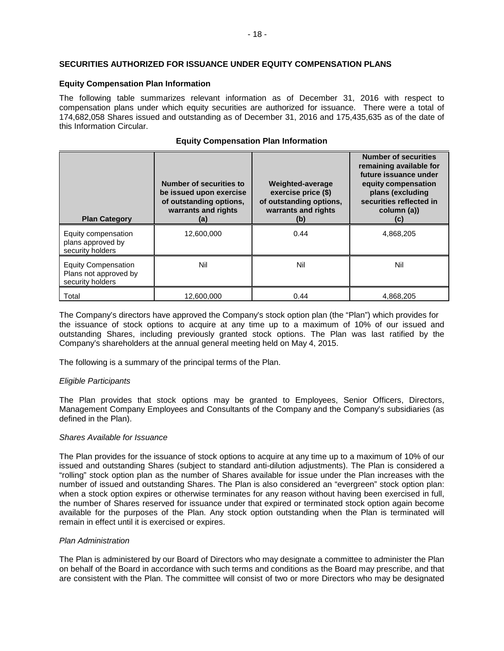## **SECURITIES AUTHORIZED FOR ISSUANCE UNDER EQUITY COMPENSATION PLANS**

## **Equity Compensation Plan Information**

The following table summarizes relevant information as of December 31, 2016 with respect to compensation plans under which equity securities are authorized for issuance. There were a total of 174,682,058 Shares issued and outstanding as of December 31, 2016 and 175,435,635 as of the date of this Information Circular.

## **Equity Compensation Plan Information**

| <b>Plan Category</b>                                                    | Number of securities to<br>be issued upon exercise<br>of outstanding options,<br>warrants and rights<br>(a) | Weighted-average<br>exercise price (\$)<br>of outstanding options,<br>warrants and rights<br>(b) | <b>Number of securities</b><br>remaining available for<br>future issuance under<br>equity compensation<br>plans (excluding<br>securities reflected in<br>column (a))<br>(c) |
|-------------------------------------------------------------------------|-------------------------------------------------------------------------------------------------------------|--------------------------------------------------------------------------------------------------|-----------------------------------------------------------------------------------------------------------------------------------------------------------------------------|
| Equity compensation<br>plans approved by<br>security holders            | 12,600,000                                                                                                  | 0.44                                                                                             | 4,868,205                                                                                                                                                                   |
| <b>Equity Compensation</b><br>Plans not approved by<br>security holders | Nil                                                                                                         | Nil                                                                                              | Nil                                                                                                                                                                         |
| Total                                                                   | 12.600.000                                                                                                  | 0.44                                                                                             | 4.868.205                                                                                                                                                                   |

The Company's directors have approved the Company's stock option plan (the "Plan") which provides for the issuance of stock options to acquire at any time up to a maximum of 10% of our issued and outstanding Shares, including previously granted stock options. The Plan was last ratified by the Company's shareholders at the annual general meeting held on May 4, 2015.

The following is a summary of the principal terms of the Plan.

## *Eligible Participants*

The Plan provides that stock options may be granted to Employees, Senior Officers, Directors, Management Company Employees and Consultants of the Company and the Company's subsidiaries (as defined in the Plan).

## *Shares Available for Issuance*

The Plan provides for the issuance of stock options to acquire at any time up to a maximum of 10% of our issued and outstanding Shares (subject to standard anti-dilution adjustments). The Plan is considered a "rolling" stock option plan as the number of Shares available for issue under the Plan increases with the number of issued and outstanding Shares. The Plan is also considered an "evergreen" stock option plan: when a stock option expires or otherwise terminates for any reason without having been exercised in full, the number of Shares reserved for issuance under that expired or terminated stock option again become available for the purposes of the Plan. Any stock option outstanding when the Plan is terminated will remain in effect until it is exercised or expires.

## *Plan Administration*

The Plan is administered by our Board of Directors who may designate a committee to administer the Plan on behalf of the Board in accordance with such terms and conditions as the Board may prescribe, and that are consistent with the Plan. The committee will consist of two or more Directors who may be designated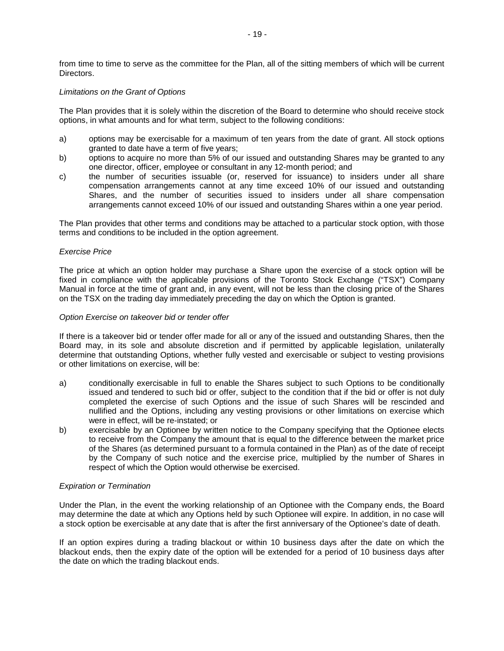from time to time to serve as the committee for the Plan, all of the sitting members of which will be current Directors.

## *Limitations on the Grant of Options*

The Plan provides that it is solely within the discretion of the Board to determine who should receive stock options, in what amounts and for what term, subject to the following conditions:

- a) options may be exercisable for a maximum of ten years from the date of grant. All stock options granted to date have a term of five years;
- b) options to acquire no more than 5% of our issued and outstanding Shares may be granted to any one director, officer, employee or consultant in any 12-month period; and
- c) the number of securities issuable (or, reserved for issuance) to insiders under all share compensation arrangements cannot at any time exceed 10% of our issued and outstanding Shares, and the number of securities issued to insiders under all share compensation arrangements cannot exceed 10% of our issued and outstanding Shares within a one year period.

The Plan provides that other terms and conditions may be attached to a particular stock option, with those terms and conditions to be included in the option agreement.

#### *Exercise Price*

The price at which an option holder may purchase a Share upon the exercise of a stock option will be fixed in compliance with the applicable provisions of the Toronto Stock Exchange ("TSX") Company Manual in force at the time of grant and, in any event, will not be less than the closing price of the Shares on the TSX on the trading day immediately preceding the day on which the Option is granted.

#### *Option Exercise on takeover bid or tender offer*

If there is a takeover bid or tender offer made for all or any of the issued and outstanding Shares, then the Board may, in its sole and absolute discretion and if permitted by applicable legislation, unilaterally determine that outstanding Options, whether fully vested and exercisable or subject to vesting provisions or other limitations on exercise, will be:

- a) conditionally exercisable in full to enable the Shares subject to such Options to be conditionally issued and tendered to such bid or offer, subject to the condition that if the bid or offer is not duly completed the exercise of such Options and the issue of such Shares will be rescinded and nullified and the Options, including any vesting provisions or other limitations on exercise which were in effect, will be re-instated; or
- b) exercisable by an Optionee by written notice to the Company specifying that the Optionee elects to receive from the Company the amount that is equal to the difference between the market price of the Shares (as determined pursuant to a formula contained in the Plan) as of the date of receipt by the Company of such notice and the exercise price, multiplied by the number of Shares in respect of which the Option would otherwise be exercised.

#### *Expiration or Termination*

Under the Plan, in the event the working relationship of an Optionee with the Company ends, the Board may determine the date at which any Options held by such Optionee will expire. In addition, in no case will a stock option be exercisable at any date that is after the first anniversary of the Optionee's date of death.

If an option expires during a trading blackout or within 10 business days after the date on which the blackout ends, then the expiry date of the option will be extended for a period of 10 business days after the date on which the trading blackout ends.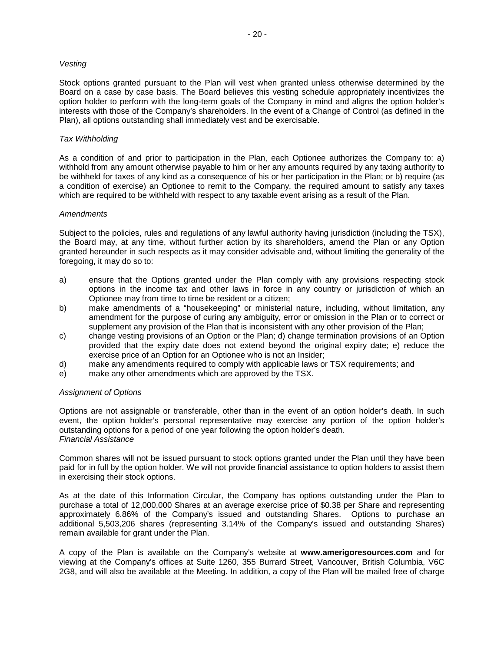#### *Vesting*

Stock options granted pursuant to the Plan will vest when granted unless otherwise determined by the Board on a case by case basis. The Board believes this vesting schedule appropriately incentivizes the option holder to perform with the long-term goals of the Company in mind and aligns the option holder's interests with those of the Company's shareholders. In the event of a Change of Control (as defined in the Plan), all options outstanding shall immediately vest and be exercisable.

#### *Tax Withholding*

As a condition of and prior to participation in the Plan, each Optionee authorizes the Company to: a) withhold from any amount otherwise payable to him or her any amounts required by any taxing authority to be withheld for taxes of any kind as a consequence of his or her participation in the Plan; or b) require (as a condition of exercise) an Optionee to remit to the Company, the required amount to satisfy any taxes which are required to be withheld with respect to any taxable event arising as a result of the Plan.

#### *Amendments*

Subject to the policies, rules and regulations of any lawful authority having jurisdiction (including the TSX), the Board may, at any time, without further action by its shareholders, amend the Plan or any Option granted hereunder in such respects as it may consider advisable and, without limiting the generality of the foregoing, it may do so to:

- a) ensure that the Options granted under the Plan comply with any provisions respecting stock options in the income tax and other laws in force in any country or jurisdiction of which an Optionee may from time to time be resident or a citizen;
- b) make amendments of a "housekeeping" or ministerial nature, including, without limitation, any amendment for the purpose of curing any ambiguity, error or omission in the Plan or to correct or supplement any provision of the Plan that is inconsistent with any other provision of the Plan;
- c) change vesting provisions of an Option or the Plan; d) change termination provisions of an Option provided that the expiry date does not extend beyond the original expiry date; e) reduce the exercise price of an Option for an Optionee who is not an Insider;
- d) make any amendments required to comply with applicable laws or TSX requirements; and
- e) make any other amendments which are approved by the TSX.

## *Assignment of Options*

Options are not assignable or transferable, other than in the event of an option holder's death. In such event, the option holder's personal representative may exercise any portion of the option holder's outstanding options for a period of one year following the option holder's death. *Financial Assistance* 

Common shares will not be issued pursuant to stock options granted under the Plan until they have been paid for in full by the option holder. We will not provide financial assistance to option holders to assist them in exercising their stock options.

As at the date of this Information Circular, the Company has options outstanding under the Plan to purchase a total of 12,000,000 Shares at an average exercise price of \$0.38 per Share and representing approximately 6.86% of the Company's issued and outstanding Shares. Options to purchase an additional 5,503,206 shares (representing 3.14% of the Company's issued and outstanding Shares) remain available for grant under the Plan.

A copy of the Plan is available on the Company's website at **www.amerigoresources.com** and for viewing at the Company's offices at Suite 1260, 355 Burrard Street, Vancouver, British Columbia, V6C 2G8, and will also be available at the Meeting. In addition, a copy of the Plan will be mailed free of charge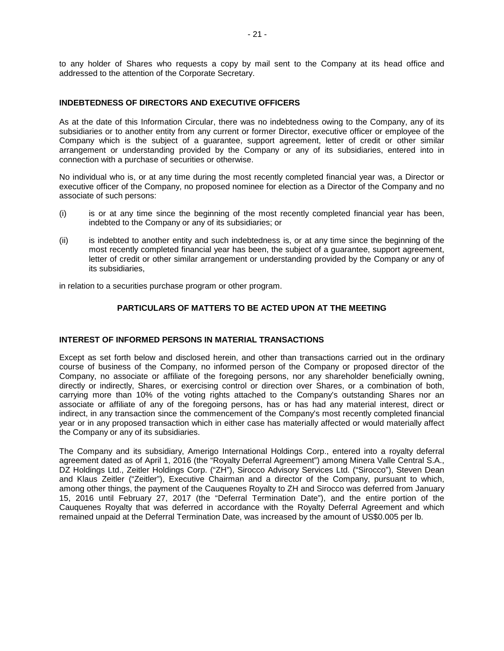to any holder of Shares who requests a copy by mail sent to the Company at its head office and addressed to the attention of the Corporate Secretary.

## **INDEBTEDNESS OF DIRECTORS AND EXECUTIVE OFFICERS**

As at the date of this Information Circular, there was no indebtedness owing to the Company, any of its subsidiaries or to another entity from any current or former Director, executive officer or employee of the Company which is the subject of a guarantee, support agreement, letter of credit or other similar arrangement or understanding provided by the Company or any of its subsidiaries, entered into in connection with a purchase of securities or otherwise.

No individual who is, or at any time during the most recently completed financial year was, a Director or executive officer of the Company, no proposed nominee for election as a Director of the Company and no associate of such persons:

- (i) is or at any time since the beginning of the most recently completed financial year has been, indebted to the Company or any of its subsidiaries; or
- (ii) is indebted to another entity and such indebtedness is, or at any time since the beginning of the most recently completed financial year has been, the subject of a guarantee, support agreement, letter of credit or other similar arrangement or understanding provided by the Company or any of its subsidiaries,

in relation to a securities purchase program or other program.

## **PARTICULARS OF MATTERS TO BE ACTED UPON AT THE MEETING**

## **INTEREST OF INFORMED PERSONS IN MATERIAL TRANSACTIONS**

Except as set forth below and disclosed herein, and other than transactions carried out in the ordinary course of business of the Company, no informed person of the Company or proposed director of the Company, no associate or affiliate of the foregoing persons, nor any shareholder beneficially owning, directly or indirectly, Shares, or exercising control or direction over Shares, or a combination of both, carrying more than 10% of the voting rights attached to the Company's outstanding Shares nor an associate or affiliate of any of the foregoing persons, has or has had any material interest, direct or indirect, in any transaction since the commencement of the Company's most recently completed financial year or in any proposed transaction which in either case has materially affected or would materially affect the Company or any of its subsidiaries.

The Company and its subsidiary, Amerigo International Holdings Corp., entered into a royalty deferral agreement dated as of April 1, 2016 (the "Royalty Deferral Agreement") among Minera Valle Central S.A., DZ Holdings Ltd., Zeitler Holdings Corp. ("ZH"), Sirocco Advisory Services Ltd. ("Sirocco"), Steven Dean and Klaus Zeitler ("Zeitler"), Executive Chairman and a director of the Company, pursuant to which, among other things, the payment of the Cauquenes Royalty to ZH and Sirocco was deferred from January 15, 2016 until February 27, 2017 (the "Deferral Termination Date"), and the entire portion of the Cauquenes Royalty that was deferred in accordance with the Royalty Deferral Agreement and which remained unpaid at the Deferral Termination Date, was increased by the amount of US\$0.005 per lb.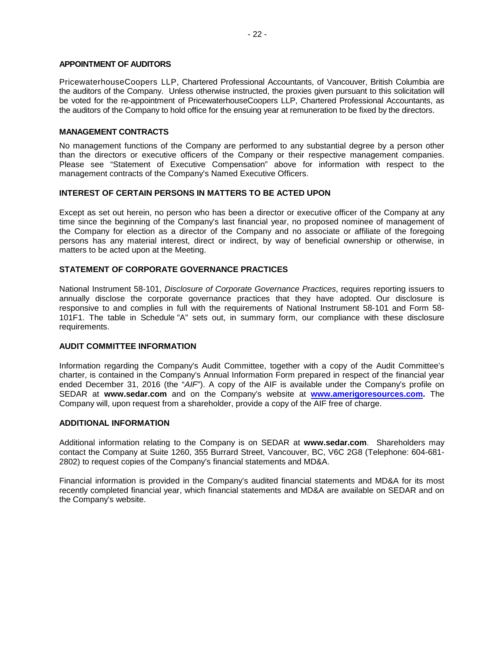### **APPOINTMENT OF AUDITORS**

PricewaterhouseCoopers LLP, Chartered Professional Accountants, of Vancouver, British Columbia are the auditors of the Company. Unless otherwise instructed, the proxies given pursuant to this solicitation will be voted for the re-appointment of PricewaterhouseCoopers LLP, Chartered Professional Accountants, as the auditors of the Company to hold office for the ensuing year at remuneration to be fixed by the directors.

#### **MANAGEMENT CONTRACTS**

No management functions of the Company are performed to any substantial degree by a person other than the directors or executive officers of the Company or their respective management companies. Please see "Statement of Executive Compensation" above for information with respect to the management contracts of the Company's Named Executive Officers.

#### **INTEREST OF CERTAIN PERSONS IN MATTERS TO BE ACTED UPON**

Except as set out herein, no person who has been a director or executive officer of the Company at any time since the beginning of the Company's last financial year, no proposed nominee of management of the Company for election as a director of the Company and no associate or affiliate of the foregoing persons has any material interest, direct or indirect, by way of beneficial ownership or otherwise, in matters to be acted upon at the Meeting.

#### **STATEMENT OF CORPORATE GOVERNANCE PRACTICES**

National Instrument 58‐101, *Disclosure of Corporate Governance Practices*, requires reporting issuers to annually disclose the corporate governance practices that they have adopted. Our disclosure is responsive to and complies in full with the requirements of National Instrument 58-101 and Form 58- 101F1. The table in Schedule "A" sets out, in summary form, our compliance with these disclosure requirements.

## **AUDIT COMMITTEE INFORMATION**

Information regarding the Company's Audit Committee, together with a copy of the Audit Committee's charter, is contained in the Company's Annual Information Form prepared in respect of the financial year ended December 31, 2016 (the "*AIF*"). A copy of the AIF is available under the Company's profile on SEDAR at **www.sedar.com** and on the Company's website at **[www.amerigoresources.com.](http://www.amerigoresources.com/)** The Company will, upon request from a shareholder, provide a copy of the AIF free of charge.

#### **ADDITIONAL INFORMATION**

Additional information relating to the Company is on SEDAR at **www.sedar.com**. Shareholders may contact the Company at Suite 1260, 355 Burrard Street, Vancouver, BC, V6C 2G8 (Telephone: 604-681- 2802) to request copies of the Company's financial statements and MD&A.

Financial information is provided in the Company's audited financial statements and MD&A for its most recently completed financial year, which financial statements and MD&A are available on SEDAR and on the Company's website.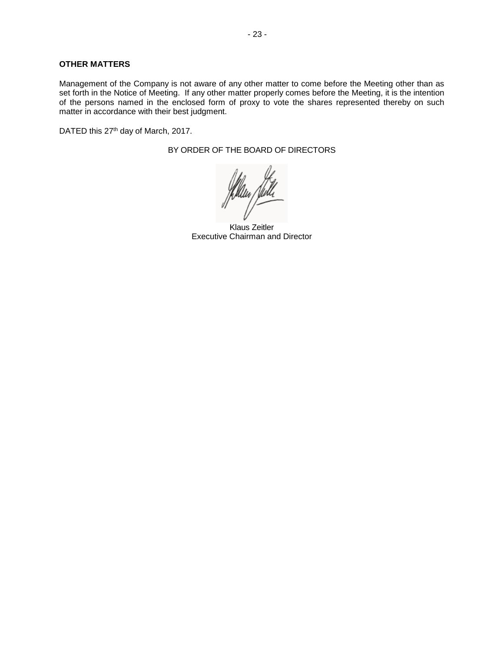## **OTHER MATTERS**

Management of the Company is not aware of any other matter to come before the Meeting other than as set forth in the Notice of Meeting. If any other matter properly comes before the Meeting, it is the intention of the persons named in the enclosed form of proxy to vote the shares represented thereby on such matter in accordance with their best judgment.

DATED this 27<sup>th</sup> day of March, 2017.

BY ORDER OF THE BOARD OF DIRECTORS

Klaus Zeitler Executive Chairman and Director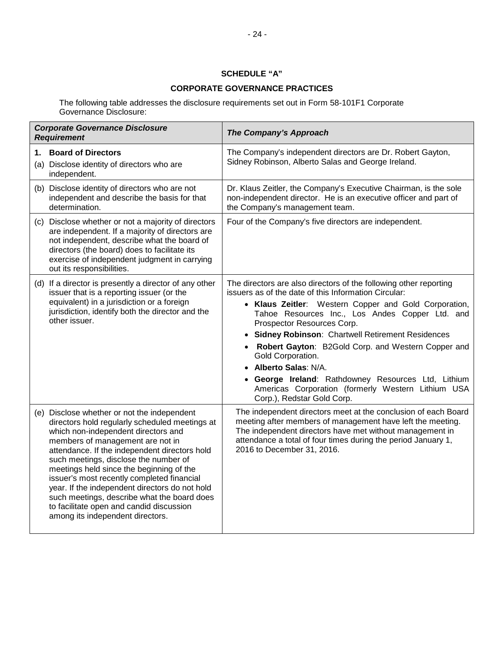## **SCHEDULE "A"**

## **CORPORATE GOVERNANCE PRACTICES**

The following table addresses the disclosure requirements set out in Form 58-101F1 Corporate Governance Disclosure:

| <b>Corporate Governance Disclosure</b><br><b>Requirement</b>                                                                                                                                                                                                                                                                                                                                                                                                                                                                                  | The Company's Approach                                                                                                                                                                                                                                                                                                                                                                                                                                                                                                                                                           |
|-----------------------------------------------------------------------------------------------------------------------------------------------------------------------------------------------------------------------------------------------------------------------------------------------------------------------------------------------------------------------------------------------------------------------------------------------------------------------------------------------------------------------------------------------|----------------------------------------------------------------------------------------------------------------------------------------------------------------------------------------------------------------------------------------------------------------------------------------------------------------------------------------------------------------------------------------------------------------------------------------------------------------------------------------------------------------------------------------------------------------------------------|
| <b>Board of Directors</b><br>1.<br>(a) Disclose identity of directors who are<br>independent.                                                                                                                                                                                                                                                                                                                                                                                                                                                 | The Company's independent directors are Dr. Robert Gayton,<br>Sidney Robinson, Alberto Salas and George Ireland.                                                                                                                                                                                                                                                                                                                                                                                                                                                                 |
| (b) Disclose identity of directors who are not<br>independent and describe the basis for that<br>determination.                                                                                                                                                                                                                                                                                                                                                                                                                               | Dr. Klaus Zeitler, the Company's Executive Chairman, is the sole<br>non-independent director. He is an executive officer and part of<br>the Company's management team.                                                                                                                                                                                                                                                                                                                                                                                                           |
| (c) Disclose whether or not a majority of directors<br>are independent. If a majority of directors are<br>not independent, describe what the board of<br>directors (the board) does to facilitate its<br>exercise of independent judgment in carrying<br>out its responsibilities.                                                                                                                                                                                                                                                            | Four of the Company's five directors are independent.                                                                                                                                                                                                                                                                                                                                                                                                                                                                                                                            |
| (d) If a director is presently a director of any other<br>issuer that is a reporting issuer (or the<br>equivalent) in a jurisdiction or a foreign<br>jurisdiction, identify both the director and the<br>other issuer.                                                                                                                                                                                                                                                                                                                        | The directors are also directors of the following other reporting<br>issuers as of the date of this Information Circular:<br>• Klaus Zeitler: Western Copper and Gold Corporation,<br>Tahoe Resources Inc., Los Andes Copper Ltd. and<br>Prospector Resources Corp.<br><b>Sidney Robinson: Chartwell Retirement Residences</b><br>Robert Gayton: B2Gold Corp. and Western Copper and<br>Gold Corporation.<br><b>Alberto Salas: N/A.</b><br>George Ireland: Rathdowney Resources Ltd, Lithium<br>Americas Corporation (formerly Western Lithium USA<br>Corp.), Redstar Gold Corp. |
| (e) Disclose whether or not the independent<br>directors hold regularly scheduled meetings at<br>which non-independent directors and<br>members of management are not in<br>attendance. If the independent directors hold<br>such meetings, disclose the number of<br>meetings held since the beginning of the<br>issuer's most recently completed financial<br>year. If the independent directors do not hold<br>such meetings, describe what the board does<br>to facilitate open and candid discussion<br>among its independent directors. | The independent directors meet at the conclusion of each Board<br>meeting after members of management have left the meeting.<br>The independent directors have met without management in<br>attendance a total of four times during the period January 1,<br>2016 to December 31, 2016.                                                                                                                                                                                                                                                                                          |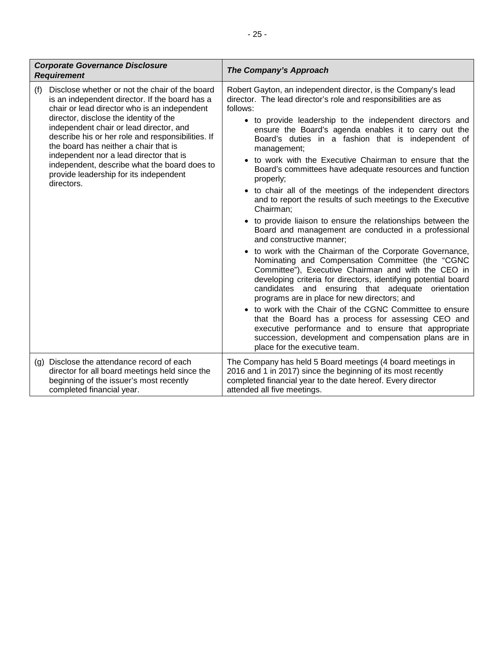| <b>Corporate Governance Disclosure</b><br><b>Requirement</b>                                                                                                                                                                                                                                                                                                                                                                                                                                  | The Company's Approach                                                                                                                                                                                                                                                                                                                                                                                                                                                                                                                                                                                                                                                                                                                                                                                                                                                                                                                                                                                                                                                                                                                                                                                                                                                                                                                                                                     |
|-----------------------------------------------------------------------------------------------------------------------------------------------------------------------------------------------------------------------------------------------------------------------------------------------------------------------------------------------------------------------------------------------------------------------------------------------------------------------------------------------|--------------------------------------------------------------------------------------------------------------------------------------------------------------------------------------------------------------------------------------------------------------------------------------------------------------------------------------------------------------------------------------------------------------------------------------------------------------------------------------------------------------------------------------------------------------------------------------------------------------------------------------------------------------------------------------------------------------------------------------------------------------------------------------------------------------------------------------------------------------------------------------------------------------------------------------------------------------------------------------------------------------------------------------------------------------------------------------------------------------------------------------------------------------------------------------------------------------------------------------------------------------------------------------------------------------------------------------------------------------------------------------------|
| Disclose whether or not the chair of the board<br>(f)<br>is an independent director. If the board has a<br>chair or lead director who is an independent<br>director, disclose the identity of the<br>independent chair or lead director, and<br>describe his or her role and responsibilities. If<br>the board has neither a chair that is<br>independent nor a lead director that is<br>independent, describe what the board does to<br>provide leadership for its independent<br>directors. | Robert Gayton, an independent director, is the Company's lead<br>director. The lead director's role and responsibilities are as<br>follows:<br>• to provide leadership to the independent directors and<br>ensure the Board's agenda enables it to carry out the<br>Board's duties in a fashion that is independent of<br>management;<br>• to work with the Executive Chairman to ensure that the<br>Board's committees have adequate resources and function<br>properly;<br>• to chair all of the meetings of the independent directors<br>and to report the results of such meetings to the Executive<br>Chairman;<br>• to provide liaison to ensure the relationships between the<br>Board and management are conducted in a professional<br>and constructive manner;<br>• to work with the Chairman of the Corporate Governance,<br>Nominating and Compensation Committee (the "CGNC<br>Committee"), Executive Chairman and with the CEO in<br>developing criteria for directors, identifying potential board<br>candidates and ensuring that adequate orientation<br>programs are in place for new directors; and<br>• to work with the Chair of the CGNC Committee to ensure<br>that the Board has a process for assessing CEO and<br>executive performance and to ensure that appropriate<br>succession, development and compensation plans are in<br>place for the executive team. |
| (g) Disclose the attendance record of each<br>director for all board meetings held since the<br>beginning of the issuer's most recently<br>completed financial year.                                                                                                                                                                                                                                                                                                                          | The Company has held 5 Board meetings (4 board meetings in<br>2016 and 1 in 2017) since the beginning of its most recently<br>completed financial year to the date hereof. Every director<br>attended all five meetings.                                                                                                                                                                                                                                                                                                                                                                                                                                                                                                                                                                                                                                                                                                                                                                                                                                                                                                                                                                                                                                                                                                                                                                   |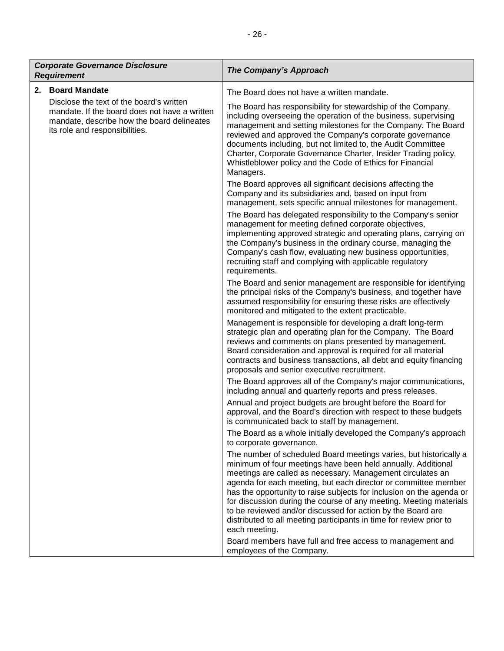| <b>Corporate Governance Disclosure</b><br><b>Requirement</b> |                                                                                                                                                                           | The Company's Approach                                                                                                                                                                                                                                                                                                                                                                                                                                                                                                                                                 |
|--------------------------------------------------------------|---------------------------------------------------------------------------------------------------------------------------------------------------------------------------|------------------------------------------------------------------------------------------------------------------------------------------------------------------------------------------------------------------------------------------------------------------------------------------------------------------------------------------------------------------------------------------------------------------------------------------------------------------------------------------------------------------------------------------------------------------------|
| 2.                                                           | <b>Board Mandate</b>                                                                                                                                                      | The Board does not have a written mandate.                                                                                                                                                                                                                                                                                                                                                                                                                                                                                                                             |
|                                                              | Disclose the text of the board's written<br>mandate. If the board does not have a written<br>mandate, describe how the board delineates<br>its role and responsibilities. | The Board has responsibility for stewardship of the Company,<br>including overseeing the operation of the business, supervising<br>management and setting milestones for the Company. The Board<br>reviewed and approved the Company's corporate governance<br>documents including, but not limited to, the Audit Committee<br>Charter, Corporate Governance Charter, Insider Trading policy,<br>Whistleblower policy and the Code of Ethics for Financial<br>Managers.                                                                                                |
|                                                              |                                                                                                                                                                           | The Board approves all significant decisions affecting the<br>Company and its subsidiaries and, based on input from<br>management, sets specific annual milestones for management.                                                                                                                                                                                                                                                                                                                                                                                     |
|                                                              |                                                                                                                                                                           | The Board has delegated responsibility to the Company's senior<br>management for meeting defined corporate objectives,<br>implementing approved strategic and operating plans, carrying on<br>the Company's business in the ordinary course, managing the<br>Company's cash flow, evaluating new business opportunities,<br>recruiting staff and complying with applicable regulatory<br>requirements.                                                                                                                                                                 |
|                                                              |                                                                                                                                                                           | The Board and senior management are responsible for identifying<br>the principal risks of the Company's business, and together have<br>assumed responsibility for ensuring these risks are effectively<br>monitored and mitigated to the extent practicable.                                                                                                                                                                                                                                                                                                           |
|                                                              |                                                                                                                                                                           | Management is responsible for developing a draft long-term<br>strategic plan and operating plan for the Company. The Board<br>reviews and comments on plans presented by management.<br>Board consideration and approval is required for all material<br>contracts and business transactions, all debt and equity financing<br>proposals and senior executive recruitment.                                                                                                                                                                                             |
|                                                              |                                                                                                                                                                           | The Board approves all of the Company's major communications,<br>including annual and quarterly reports and press releases.                                                                                                                                                                                                                                                                                                                                                                                                                                            |
|                                                              |                                                                                                                                                                           | Annual and project budgets are brought before the Board for<br>approval, and the Board's direction with respect to these budgets<br>is communicated back to staff by management.                                                                                                                                                                                                                                                                                                                                                                                       |
|                                                              |                                                                                                                                                                           | The Board as a whole initially developed the Company's approach<br>to corporate governance.                                                                                                                                                                                                                                                                                                                                                                                                                                                                            |
|                                                              |                                                                                                                                                                           | The number of scheduled Board meetings varies, but historically a<br>minimum of four meetings have been held annually. Additional<br>meetings are called as necessary. Management circulates an<br>agenda for each meeting, but each director or committee member<br>has the opportunity to raise subjects for inclusion on the agenda or<br>for discussion during the course of any meeting. Meeting materials<br>to be reviewed and/or discussed for action by the Board are<br>distributed to all meeting participants in time for review prior to<br>each meeting. |

Board members have full and free access to management and employees of the Company.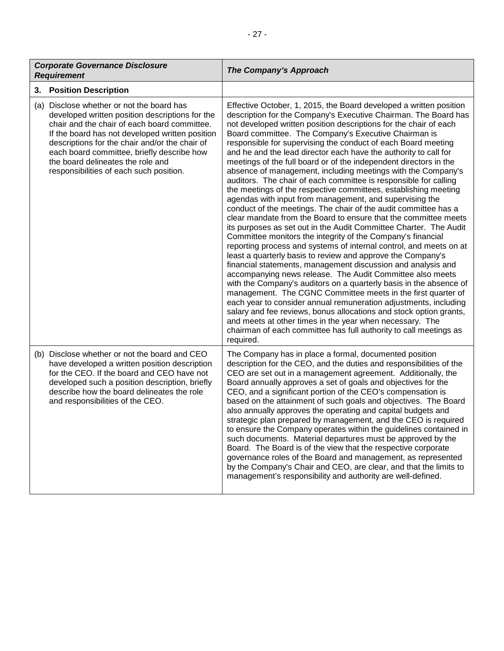| <b>Corporate Governance Disclosure</b><br><b>Requirement</b>                                                                                                                                                                                                                                                                                                                    | The Company's Approach                                                                                                                                                                                                                                                                                                                                                                                                                                                                                                                                                                                                                                                                                                                                                                                                                                                                                                                                                                                                                                                                                                                                                                                                                                                                                                                                                                                                                                                                                                                                                                                                                                                                                                   |
|---------------------------------------------------------------------------------------------------------------------------------------------------------------------------------------------------------------------------------------------------------------------------------------------------------------------------------------------------------------------------------|--------------------------------------------------------------------------------------------------------------------------------------------------------------------------------------------------------------------------------------------------------------------------------------------------------------------------------------------------------------------------------------------------------------------------------------------------------------------------------------------------------------------------------------------------------------------------------------------------------------------------------------------------------------------------------------------------------------------------------------------------------------------------------------------------------------------------------------------------------------------------------------------------------------------------------------------------------------------------------------------------------------------------------------------------------------------------------------------------------------------------------------------------------------------------------------------------------------------------------------------------------------------------------------------------------------------------------------------------------------------------------------------------------------------------------------------------------------------------------------------------------------------------------------------------------------------------------------------------------------------------------------------------------------------------------------------------------------------------|
| <b>Position Description</b><br>3.                                                                                                                                                                                                                                                                                                                                               |                                                                                                                                                                                                                                                                                                                                                                                                                                                                                                                                                                                                                                                                                                                                                                                                                                                                                                                                                                                                                                                                                                                                                                                                                                                                                                                                                                                                                                                                                                                                                                                                                                                                                                                          |
| (a) Disclose whether or not the board has<br>developed written position descriptions for the<br>chair and the chair of each board committee.<br>If the board has not developed written position<br>descriptions for the chair and/or the chair of<br>each board committee, briefly describe how<br>the board delineates the role and<br>responsibilities of each such position. | Effective October, 1, 2015, the Board developed a written position<br>description for the Company's Executive Chairman. The Board has<br>not developed written position descriptions for the chair of each<br>Board committee. The Company's Executive Chairman is<br>responsible for supervising the conduct of each Board meeting<br>and he and the lead director each have the authority to call for<br>meetings of the full board or of the independent directors in the<br>absence of management, including meetings with the Company's<br>auditors. The chair of each committee is responsible for calling<br>the meetings of the respective committees, establishing meeting<br>agendas with input from management, and supervising the<br>conduct of the meetings. The chair of the audit committee has a<br>clear mandate from the Board to ensure that the committee meets<br>its purposes as set out in the Audit Committee Charter. The Audit<br>Committee monitors the integrity of the Company's financial<br>reporting process and systems of internal control, and meets on at<br>least a quarterly basis to review and approve the Company's<br>financial statements, management discussion and analysis and<br>accompanying news release. The Audit Committee also meets<br>with the Company's auditors on a quarterly basis in the absence of<br>management. The CGNC Committee meets in the first quarter of<br>each year to consider annual remuneration adjustments, including<br>salary and fee reviews, bonus allocations and stock option grants,<br>and meets at other times in the year when necessary. The<br>chairman of each committee has full authority to call meetings as<br>required. |
| (b) Disclose whether or not the board and CEO<br>have developed a written position description<br>for the CEO. If the board and CEO have not<br>developed such a position description, briefly<br>describe how the board delineates the role<br>and responsibilities of the CEO.                                                                                                | The Company has in place a formal, documented position<br>description for the CEO, and the duties and responsibilities of the<br>CEO are set out in a management agreement. Additionally, the<br>Board annually approves a set of goals and objectives for the<br>CEO, and a significant portion of the CEO's compensation is<br>based on the attainment of such goals and objectives. The Board<br>also annually approves the operating and capital budgets and<br>strategic plan prepared by management, and the CEO is required<br>to ensure the Company operates within the guidelines contained in<br>such documents. Material departures must be approved by the<br>Board. The Board is of the view that the respective corporate<br>governance roles of the Board and management, as represented<br>by the Company's Chair and CEO, are clear, and that the limits to<br>management's responsibility and authority are well-defined.                                                                                                                                                                                                                                                                                                                                                                                                                                                                                                                                                                                                                                                                                                                                                                              |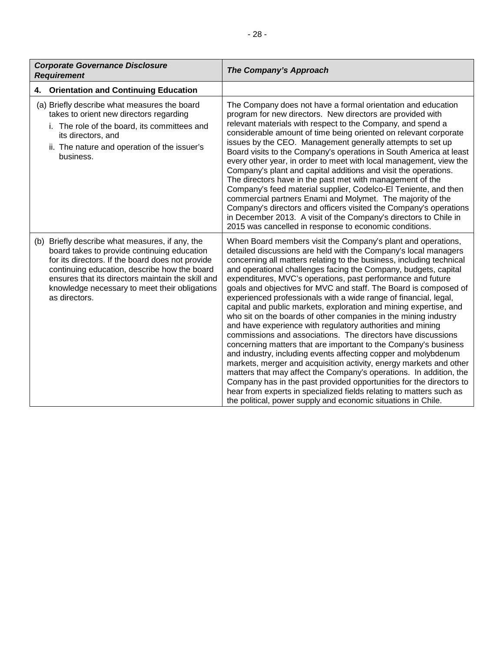| <b>Corporate Governance Disclosure</b><br><b>Requirement</b>                                                                                                                                                                                                                                                              | The Company's Approach                                                                                                                                                                                                                                                                                                                                                                                                                                                                                                                                                                                                                                                                                                                                                                                                                                                                                                                                                                                                                                                                                                                                                                                                                                  |
|---------------------------------------------------------------------------------------------------------------------------------------------------------------------------------------------------------------------------------------------------------------------------------------------------------------------------|---------------------------------------------------------------------------------------------------------------------------------------------------------------------------------------------------------------------------------------------------------------------------------------------------------------------------------------------------------------------------------------------------------------------------------------------------------------------------------------------------------------------------------------------------------------------------------------------------------------------------------------------------------------------------------------------------------------------------------------------------------------------------------------------------------------------------------------------------------------------------------------------------------------------------------------------------------------------------------------------------------------------------------------------------------------------------------------------------------------------------------------------------------------------------------------------------------------------------------------------------------|
| <b>Orientation and Continuing Education</b><br>4.                                                                                                                                                                                                                                                                         |                                                                                                                                                                                                                                                                                                                                                                                                                                                                                                                                                                                                                                                                                                                                                                                                                                                                                                                                                                                                                                                                                                                                                                                                                                                         |
| (a) Briefly describe what measures the board<br>takes to orient new directors regarding<br>i. The role of the board, its committees and<br>its directors, and<br>ii. The nature and operation of the issuer's<br>business.                                                                                                | The Company does not have a formal orientation and education<br>program for new directors. New directors are provided with<br>relevant materials with respect to the Company, and spend a<br>considerable amount of time being oriented on relevant corporate<br>issues by the CEO. Management generally attempts to set up<br>Board visits to the Company's operations in South America at least<br>every other year, in order to meet with local management, view the<br>Company's plant and capital additions and visit the operations.<br>The directors have in the past met with management of the<br>Company's feed material supplier, Codelco-El Teniente, and then<br>commercial partners Enami and Molymet. The majority of the<br>Company's directors and officers visited the Company's operations<br>in December 2013. A visit of the Company's directors to Chile in<br>2015 was cancelled in response to economic conditions.                                                                                                                                                                                                                                                                                                             |
| (b) Briefly describe what measures, if any, the<br>board takes to provide continuing education<br>for its directors. If the board does not provide<br>continuing education, describe how the board<br>ensures that its directors maintain the skill and<br>knowledge necessary to meet their obligations<br>as directors. | When Board members visit the Company's plant and operations,<br>detailed discussions are held with the Company's local managers<br>concerning all matters relating to the business, including technical<br>and operational challenges facing the Company, budgets, capital<br>expenditures, MVC's operations, past performance and future<br>goals and objectives for MVC and staff. The Board is composed of<br>experienced professionals with a wide range of financial, legal,<br>capital and public markets, exploration and mining expertise, and<br>who sit on the boards of other companies in the mining industry<br>and have experience with regulatory authorities and mining<br>commissions and associations. The directors have discussions<br>concerning matters that are important to the Company's business<br>and industry, including events affecting copper and molybdenum<br>markets, merger and acquisition activity, energy markets and other<br>matters that may affect the Company's operations. In addition, the<br>Company has in the past provided opportunities for the directors to<br>hear from experts in specialized fields relating to matters such as<br>the political, power supply and economic situations in Chile. |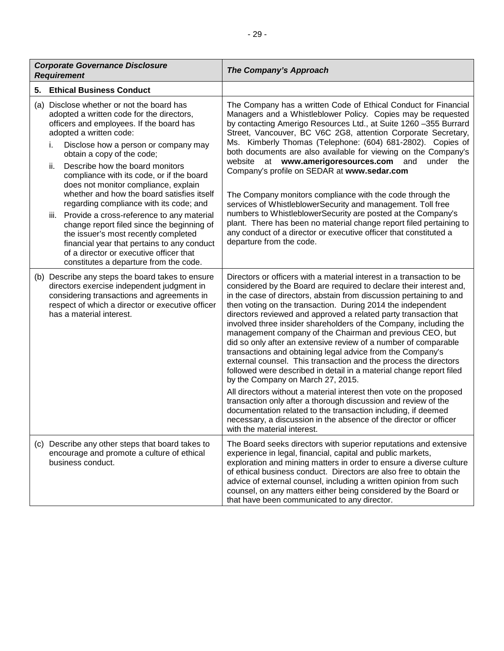| <b>Corporate Governance Disclosure</b><br><b>Requirement</b> |                                                                                                                                                                                                                                                                                                                                                                                                                                                                                                                                                                                                                                                                                                                                               | The Company's Approach                                                                                                                                                                                                                                                                                                                                                                                                                                                                                                                                                                                                                                                                                                                                                                                                                                                                                                                                                                                                                                                                                                 |
|--------------------------------------------------------------|-----------------------------------------------------------------------------------------------------------------------------------------------------------------------------------------------------------------------------------------------------------------------------------------------------------------------------------------------------------------------------------------------------------------------------------------------------------------------------------------------------------------------------------------------------------------------------------------------------------------------------------------------------------------------------------------------------------------------------------------------|------------------------------------------------------------------------------------------------------------------------------------------------------------------------------------------------------------------------------------------------------------------------------------------------------------------------------------------------------------------------------------------------------------------------------------------------------------------------------------------------------------------------------------------------------------------------------------------------------------------------------------------------------------------------------------------------------------------------------------------------------------------------------------------------------------------------------------------------------------------------------------------------------------------------------------------------------------------------------------------------------------------------------------------------------------------------------------------------------------------------|
| 5.                                                           | <b>Ethical Business Conduct</b>                                                                                                                                                                                                                                                                                                                                                                                                                                                                                                                                                                                                                                                                                                               |                                                                                                                                                                                                                                                                                                                                                                                                                                                                                                                                                                                                                                                                                                                                                                                                                                                                                                                                                                                                                                                                                                                        |
|                                                              | (a) Disclose whether or not the board has<br>adopted a written code for the directors,<br>officers and employees. If the board has<br>adopted a written code:<br>Disclose how a person or company may<br>i.<br>obtain a copy of the code;<br>Describe how the board monitors<br>ii.<br>compliance with its code, or if the board<br>does not monitor compliance, explain<br>whether and how the board satisfies itself<br>regarding compliance with its code; and<br>iii. Provide a cross-reference to any material<br>change report filed since the beginning of<br>the issuer's most recently completed<br>financial year that pertains to any conduct<br>of a director or executive officer that<br>constitutes a departure from the code. | The Company has a written Code of Ethical Conduct for Financial<br>Managers and a Whistleblower Policy. Copies may be requested<br>by contacting Amerigo Resources Ltd., at Suite 1260 -355 Burrard<br>Street, Vancouver, BC V6C 2G8, attention Corporate Secretary,<br>Ms. Kimberly Thomas (Telephone: (604) 681-2802). Copies of<br>both documents are also available for viewing on the Company's<br>website at www.amerigoresources.com and<br>under the<br>Company's profile on SEDAR at www.sedar.com<br>The Company monitors compliance with the code through the<br>services of WhistleblowerSecurity and management. Toll free<br>numbers to WhistleblowerSecurity are posted at the Company's<br>plant. There has been no material change report filed pertaining to<br>any conduct of a director or executive officer that constituted a<br>departure from the code.                                                                                                                                                                                                                                        |
|                                                              | (b) Describe any steps the board takes to ensure<br>directors exercise independent judgment in<br>considering transactions and agreements in<br>respect of which a director or executive officer<br>has a material interest.                                                                                                                                                                                                                                                                                                                                                                                                                                                                                                                  | Directors or officers with a material interest in a transaction to be<br>considered by the Board are required to declare their interest and,<br>in the case of directors, abstain from discussion pertaining to and<br>then voting on the transaction. During 2014 the independent<br>directors reviewed and approved a related party transaction that<br>involved three insider shareholders of the Company, including the<br>management company of the Chairman and previous CEO, but<br>did so only after an extensive review of a number of comparable<br>transactions and obtaining legal advice from the Company's<br>external counsel. This transaction and the process the directors<br>followed were described in detail in a material change report filed<br>by the Company on March 27, 2015.<br>All directors without a material interest then vote on the proposed<br>transaction only after a thorough discussion and review of the<br>documentation related to the transaction including, if deemed<br>necessary, a discussion in the absence of the director or officer<br>with the material interest. |
|                                                              | (c) Describe any other steps that board takes to<br>encourage and promote a culture of ethical<br>business conduct.                                                                                                                                                                                                                                                                                                                                                                                                                                                                                                                                                                                                                           | The Board seeks directors with superior reputations and extensive<br>experience in legal, financial, capital and public markets,<br>exploration and mining matters in order to ensure a diverse culture<br>of ethical business conduct. Directors are also free to obtain the<br>advice of external counsel, including a written opinion from such<br>counsel, on any matters either being considered by the Board or<br>that have been communicated to any director.                                                                                                                                                                                                                                                                                                                                                                                                                                                                                                                                                                                                                                                  |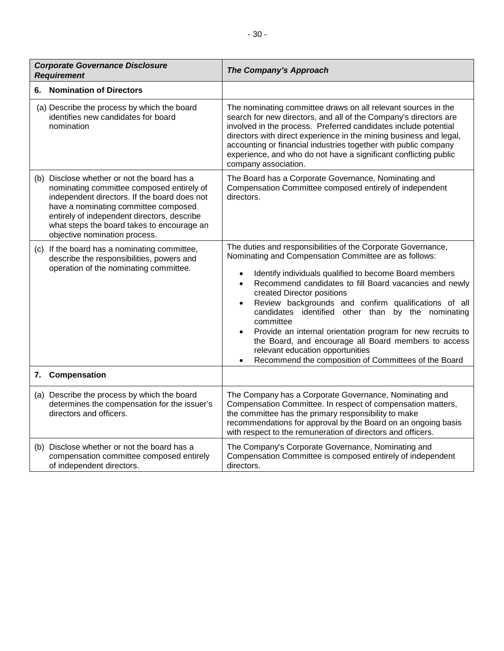|    | <b>Corporate Governance Disclosure</b><br><b>Requirement</b>                                                                                                                                                                                                                                                   | The Company's Approach                                                                                                                                                                                                                                                                                                                                                                                                                                                                                                                                                                                                                                                                    |
|----|----------------------------------------------------------------------------------------------------------------------------------------------------------------------------------------------------------------------------------------------------------------------------------------------------------------|-------------------------------------------------------------------------------------------------------------------------------------------------------------------------------------------------------------------------------------------------------------------------------------------------------------------------------------------------------------------------------------------------------------------------------------------------------------------------------------------------------------------------------------------------------------------------------------------------------------------------------------------------------------------------------------------|
| 6. | <b>Nomination of Directors</b>                                                                                                                                                                                                                                                                                 |                                                                                                                                                                                                                                                                                                                                                                                                                                                                                                                                                                                                                                                                                           |
|    | (a) Describe the process by which the board<br>identifies new candidates for board<br>nomination                                                                                                                                                                                                               | The nominating committee draws on all relevant sources in the<br>search for new directors, and all of the Company's directors are<br>involved in the process. Preferred candidates include potential<br>directors with direct experience in the mining business and legal,<br>accounting or financial industries together with public company<br>experience, and who do not have a significant conflicting public<br>company association.                                                                                                                                                                                                                                                 |
|    | (b) Disclose whether or not the board has a<br>nominating committee composed entirely of<br>independent directors. If the board does not<br>have a nominating committee composed<br>entirely of independent directors, describe<br>what steps the board takes to encourage an<br>objective nomination process. | The Board has a Corporate Governance, Nominating and<br>Compensation Committee composed entirely of independent<br>directors.                                                                                                                                                                                                                                                                                                                                                                                                                                                                                                                                                             |
|    | (c) If the board has a nominating committee,<br>describe the responsibilities, powers and<br>operation of the nominating committee.                                                                                                                                                                            | The duties and responsibilities of the Corporate Governance,<br>Nominating and Compensation Committee are as follows:<br>Identify individuals qualified to become Board members<br>$\bullet$<br>Recommend candidates to fill Board vacancies and newly<br>$\bullet$<br>created Director positions<br>Review backgrounds and confirm qualifications of all<br>$\bullet$<br>candidates identified other than<br>by the nominating<br>committee<br>Provide an internal orientation program for new recruits to<br>$\bullet$<br>the Board, and encourage all Board members to access<br>relevant education opportunities<br>Recommend the composition of Committees of the Board<br>$\bullet$ |
| 7. | Compensation                                                                                                                                                                                                                                                                                                   |                                                                                                                                                                                                                                                                                                                                                                                                                                                                                                                                                                                                                                                                                           |
|    | (a) Describe the process by which the board<br>determines the compensation for the issuer's<br>directors and officers.                                                                                                                                                                                         | The Company has a Corporate Governance, Nominating and<br>Compensation Committee. In respect of compensation matters,<br>the committee has the primary responsibility to make<br>recommendations for approval by the Board on an ongoing basis<br>with respect to the remuneration of directors and officers.                                                                                                                                                                                                                                                                                                                                                                             |
|    | (b) Disclose whether or not the board has a<br>compensation committee composed entirely<br>of independent directors.                                                                                                                                                                                           | The Company's Corporate Governance, Nominating and<br>Compensation Committee is composed entirely of independent<br>directors.                                                                                                                                                                                                                                                                                                                                                                                                                                                                                                                                                            |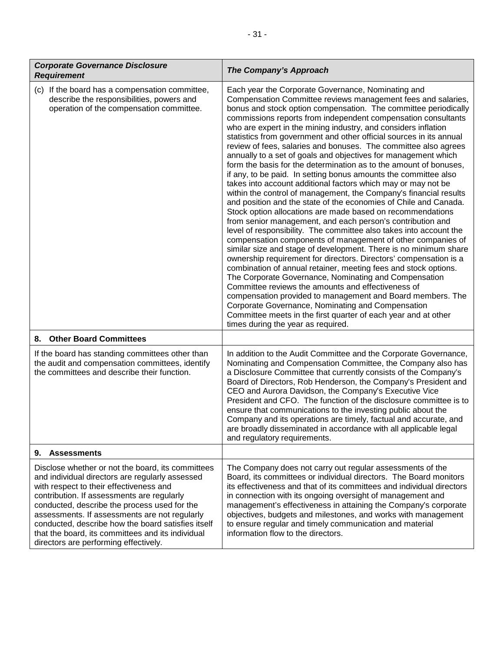| <b>Corporate Governance Disclosure</b><br><b>Requirement</b>                                                                                                                                                                                                                                                                                                                                                                                       | The Company's Approach                                                                                                                                                                                                                                                                                                                                                                                                                                                                                                                                                                                                                                                                                                                                                                                                                                                                                                                                                                                                                                                                                                                                                                                                                                                                                                                                                                                                                                                                                                                                                                                                                                                                                        |
|----------------------------------------------------------------------------------------------------------------------------------------------------------------------------------------------------------------------------------------------------------------------------------------------------------------------------------------------------------------------------------------------------------------------------------------------------|---------------------------------------------------------------------------------------------------------------------------------------------------------------------------------------------------------------------------------------------------------------------------------------------------------------------------------------------------------------------------------------------------------------------------------------------------------------------------------------------------------------------------------------------------------------------------------------------------------------------------------------------------------------------------------------------------------------------------------------------------------------------------------------------------------------------------------------------------------------------------------------------------------------------------------------------------------------------------------------------------------------------------------------------------------------------------------------------------------------------------------------------------------------------------------------------------------------------------------------------------------------------------------------------------------------------------------------------------------------------------------------------------------------------------------------------------------------------------------------------------------------------------------------------------------------------------------------------------------------------------------------------------------------------------------------------------------------|
| (c) If the board has a compensation committee,<br>describe the responsibilities, powers and<br>operation of the compensation committee.                                                                                                                                                                                                                                                                                                            | Each year the Corporate Governance, Nominating and<br>Compensation Committee reviews management fees and salaries,<br>bonus and stock option compensation. The committee periodically<br>commissions reports from independent compensation consultants<br>who are expert in the mining industry, and considers inflation<br>statistics from government and other official sources in its annual<br>review of fees, salaries and bonuses. The committee also agrees<br>annually to a set of goals and objectives for management which<br>form the basis for the determination as to the amount of bonuses,<br>if any, to be paid. In setting bonus amounts the committee also<br>takes into account additional factors which may or may not be<br>within the control of management, the Company's financial results<br>and position and the state of the economies of Chile and Canada.<br>Stock option allocations are made based on recommendations<br>from senior management, and each person's contribution and<br>level of responsibility. The committee also takes into account the<br>compensation components of management of other companies of<br>similar size and stage of development. There is no minimum share<br>ownership requirement for directors. Directors' compensation is a<br>combination of annual retainer, meeting fees and stock options.<br>The Corporate Governance, Nominating and Compensation<br>Committee reviews the amounts and effectiveness of<br>compensation provided to management and Board members. The<br>Corporate Governance, Nominating and Compensation<br>Committee meets in the first quarter of each year and at other<br>times during the year as required. |
| <b>Other Board Committees</b><br>8.                                                                                                                                                                                                                                                                                                                                                                                                                |                                                                                                                                                                                                                                                                                                                                                                                                                                                                                                                                                                                                                                                                                                                                                                                                                                                                                                                                                                                                                                                                                                                                                                                                                                                                                                                                                                                                                                                                                                                                                                                                                                                                                                               |
| If the board has standing committees other than<br>the audit and compensation committees, identify<br>the committees and describe their function.                                                                                                                                                                                                                                                                                                  | In addition to the Audit Committee and the Corporate Governance,<br>Nominating and Compensation Committee, the Company also has<br>a Disclosure Committee that currently consists of the Company's<br>Board of Directors, Rob Henderson, the Company's President and<br>CEO and Aurora Davidson, the Company's Executive Vice<br>President and CFO. The function of the disclosure committee is to<br>ensure that communications to the investing public about the<br>Company and its operations are timely, factual and accurate, and<br>are broadly disseminated in accordance with all applicable legal<br>and regulatory requirements.                                                                                                                                                                                                                                                                                                                                                                                                                                                                                                                                                                                                                                                                                                                                                                                                                                                                                                                                                                                                                                                                    |
| <b>Assessments</b><br>9.                                                                                                                                                                                                                                                                                                                                                                                                                           |                                                                                                                                                                                                                                                                                                                                                                                                                                                                                                                                                                                                                                                                                                                                                                                                                                                                                                                                                                                                                                                                                                                                                                                                                                                                                                                                                                                                                                                                                                                                                                                                                                                                                                               |
| Disclose whether or not the board, its committees<br>and individual directors are regularly assessed<br>with respect to their effectiveness and<br>contribution. If assessments are regularly<br>conducted, describe the process used for the<br>assessments. If assessments are not regularly<br>conducted, describe how the board satisfies itself<br>that the board, its committees and its individual<br>directors are performing effectively. | The Company does not carry out regular assessments of the<br>Board, its committees or individual directors. The Board monitors<br>its effectiveness and that of its committees and individual directors<br>in connection with its ongoing oversight of management and<br>management's effectiveness in attaining the Company's corporate<br>objectives, budgets and milestones, and works with management<br>to ensure regular and timely communication and material<br>information flow to the directors.                                                                                                                                                                                                                                                                                                                                                                                                                                                                                                                                                                                                                                                                                                                                                                                                                                                                                                                                                                                                                                                                                                                                                                                                    |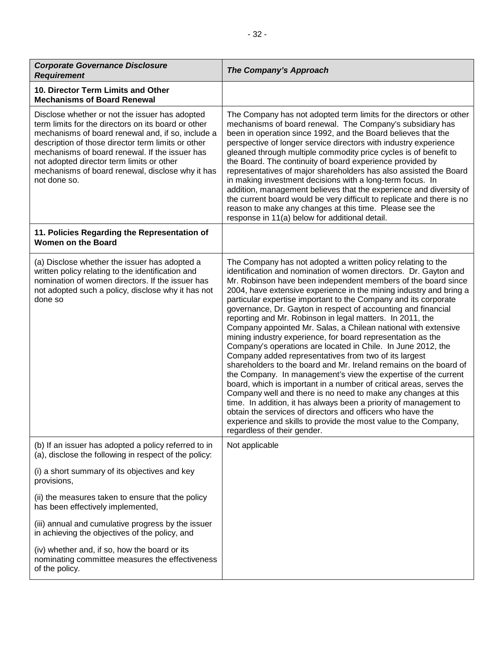| <b>Corporate Governance Disclosure</b><br><b>Requirement</b>                                                                                                                                                                                                                                                                                                                        | <b>The Company's Approach</b>                                                                                                                                                                                                                                                                                                                                                                                                                                                                                                                                                                                                                                                                                                                                                                                                                                                                                                                                                                                                                                                                                                                                                                                                                          |
|-------------------------------------------------------------------------------------------------------------------------------------------------------------------------------------------------------------------------------------------------------------------------------------------------------------------------------------------------------------------------------------|--------------------------------------------------------------------------------------------------------------------------------------------------------------------------------------------------------------------------------------------------------------------------------------------------------------------------------------------------------------------------------------------------------------------------------------------------------------------------------------------------------------------------------------------------------------------------------------------------------------------------------------------------------------------------------------------------------------------------------------------------------------------------------------------------------------------------------------------------------------------------------------------------------------------------------------------------------------------------------------------------------------------------------------------------------------------------------------------------------------------------------------------------------------------------------------------------------------------------------------------------------|
| 10. Director Term Limits and Other<br><b>Mechanisms of Board Renewal</b>                                                                                                                                                                                                                                                                                                            |                                                                                                                                                                                                                                                                                                                                                                                                                                                                                                                                                                                                                                                                                                                                                                                                                                                                                                                                                                                                                                                                                                                                                                                                                                                        |
| Disclose whether or not the issuer has adopted<br>term limits for the directors on its board or other<br>mechanisms of board renewal and, if so, include a<br>description of those director term limits or other<br>mechanisms of board renewal. If the issuer has<br>not adopted director term limits or other<br>mechanisms of board renewal, disclose why it has<br>not done so. | The Company has not adopted term limits for the directors or other<br>mechanisms of board renewal. The Company's subsidiary has<br>been in operation since 1992, and the Board believes that the<br>perspective of longer service directors with industry experience<br>gleaned through multiple commodity price cycles is of benefit to<br>the Board. The continuity of board experience provided by<br>representatives of major shareholders has also assisted the Board<br>in making investment decisions with a long-term focus. In<br>addition, management believes that the experience and diversity of<br>the current board would be very difficult to replicate and there is no<br>reason to make any changes at this time. Please see the<br>response in 11(a) below for additional detail.                                                                                                                                                                                                                                                                                                                                                                                                                                                   |
| 11. Policies Regarding the Representation of<br><b>Women on the Board</b>                                                                                                                                                                                                                                                                                                           |                                                                                                                                                                                                                                                                                                                                                                                                                                                                                                                                                                                                                                                                                                                                                                                                                                                                                                                                                                                                                                                                                                                                                                                                                                                        |
| (a) Disclose whether the issuer has adopted a<br>written policy relating to the identification and<br>nomination of women directors. If the issuer has<br>not adopted such a policy, disclose why it has not<br>done so                                                                                                                                                             | The Company has not adopted a written policy relating to the<br>identification and nomination of women directors. Dr. Gayton and<br>Mr. Robinson have been independent members of the board since<br>2004, have extensive experience in the mining industry and bring a<br>particular expertise important to the Company and its corporate<br>governance, Dr. Gayton in respect of accounting and financial<br>reporting and Mr. Robinson in legal matters. In 2011, the<br>Company appointed Mr. Salas, a Chilean national with extensive<br>mining industry experience, for board representation as the<br>Company's operations are located in Chile. In June 2012, the<br>Company added representatives from two of its largest<br>shareholders to the board and Mr. Ireland remains on the board of<br>the Company. In management's view the expertise of the current<br>board, which is important in a number of critical areas, serves the<br>Company well and there is no need to make any changes at this<br>time. In addition, it has always been a priority of management to<br>obtain the services of directors and officers who have the<br>experience and skills to provide the most value to the Company,<br>regardless of their gender. |
| (b) If an issuer has adopted a policy referred to in<br>(a), disclose the following in respect of the policy:                                                                                                                                                                                                                                                                       | Not applicable                                                                                                                                                                                                                                                                                                                                                                                                                                                                                                                                                                                                                                                                                                                                                                                                                                                                                                                                                                                                                                                                                                                                                                                                                                         |
| (i) a short summary of its objectives and key<br>provisions,                                                                                                                                                                                                                                                                                                                        |                                                                                                                                                                                                                                                                                                                                                                                                                                                                                                                                                                                                                                                                                                                                                                                                                                                                                                                                                                                                                                                                                                                                                                                                                                                        |
| (ii) the measures taken to ensure that the policy<br>has been effectively implemented,                                                                                                                                                                                                                                                                                              |                                                                                                                                                                                                                                                                                                                                                                                                                                                                                                                                                                                                                                                                                                                                                                                                                                                                                                                                                                                                                                                                                                                                                                                                                                                        |
| (iii) annual and cumulative progress by the issuer<br>in achieving the objectives of the policy, and                                                                                                                                                                                                                                                                                |                                                                                                                                                                                                                                                                                                                                                                                                                                                                                                                                                                                                                                                                                                                                                                                                                                                                                                                                                                                                                                                                                                                                                                                                                                                        |
| (iv) whether and, if so, how the board or its<br>nominating committee measures the effectiveness<br>of the policy.                                                                                                                                                                                                                                                                  |                                                                                                                                                                                                                                                                                                                                                                                                                                                                                                                                                                                                                                                                                                                                                                                                                                                                                                                                                                                                                                                                                                                                                                                                                                                        |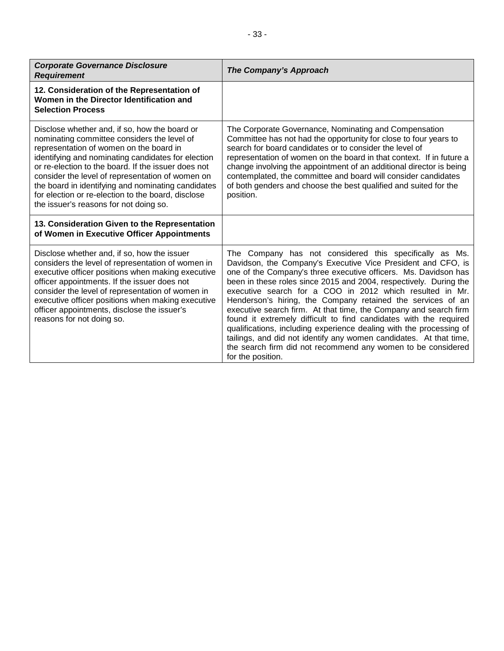| <b>Corporate Governance Disclosure</b><br><b>Requirement</b>                                                                            | The Company's Approach                                                                                                                                                           |
|-----------------------------------------------------------------------------------------------------------------------------------------|----------------------------------------------------------------------------------------------------------------------------------------------------------------------------------|
| 12. Consideration of the Representation of<br>Women in the Director Identification and<br><b>Selection Process</b>                      |                                                                                                                                                                                  |
| Disclose whether and, if so, how the board or<br>nominating committee considers the level of<br>representation of women on the board in | The Corporate Governance, Nominating and Compensation<br>Committee has not had the opportunity for close to four year<br>search for board candidates or to consider the level of |

| nominating committee considers the level of<br>representation of women on the board in<br>identifying and nominating candidates for election<br>or re-election to the board. If the issuer does not<br>consider the level of representation of women on<br>the board in identifying and nominating candidates<br>for election or re-election to the board, disclose<br>the issuer's reasons for not doing so. | Committee has not had the opportunity for close to four years to<br>search for board candidates or to consider the level of<br>representation of women on the board in that context. If in future a<br>change involving the appointment of an additional director is being<br>contemplated, the committee and board will consider candidates<br>of both genders and choose the best qualified and suited for the<br>position.                                                                                                                                                                                                                                                                                                                                         |
|---------------------------------------------------------------------------------------------------------------------------------------------------------------------------------------------------------------------------------------------------------------------------------------------------------------------------------------------------------------------------------------------------------------|-----------------------------------------------------------------------------------------------------------------------------------------------------------------------------------------------------------------------------------------------------------------------------------------------------------------------------------------------------------------------------------------------------------------------------------------------------------------------------------------------------------------------------------------------------------------------------------------------------------------------------------------------------------------------------------------------------------------------------------------------------------------------|
| 13. Consideration Given to the Representation<br>of Women in Executive Officer Appointments                                                                                                                                                                                                                                                                                                                   |                                                                                                                                                                                                                                                                                                                                                                                                                                                                                                                                                                                                                                                                                                                                                                       |
| Disclose whether and, if so, how the issuer<br>considers the level of representation of women in<br>executive officer positions when making executive<br>officer appointments. If the issuer does not<br>consider the level of representation of women in<br>executive officer positions when making executive<br>officer appointments, disclose the issuer's<br>reasons for not doing so.                    | The Company has not considered this specifically as Ms.<br>Davidson, the Company's Executive Vice President and CFO, is<br>one of the Company's three executive officers. Ms. Davidson has<br>been in these roles since 2015 and 2004, respectively. During the<br>executive search for a COO in 2012 which resulted in Mr.<br>Henderson's hiring, the Company retained the services of an<br>executive search firm. At that time, the Company and search firm<br>found it extremely difficult to find candidates with the required<br>qualifications, including experience dealing with the processing of<br>tailings, and did not identify any women candidates. At that time,<br>the search firm did not recommend any women to be considered<br>for the position. |